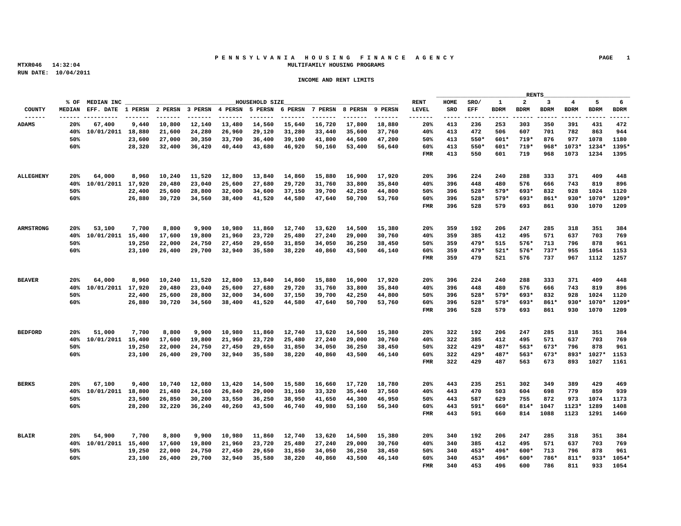# **P E N N S Y L V A N I A H O U S I N G F I N A N C E A G E N C Y PAGE 1 MTXR046 14:32:04 MULTIFAMILY HOUSING PROGRAMS**

|                  |                 |                                                                                                                                                           |                                                                |  |  |             |  | RENTS |                                                 |  |
|------------------|-----------------|-----------------------------------------------------------------------------------------------------------------------------------------------------------|----------------------------------------------------------------|--|--|-------------|--|-------|-------------------------------------------------|--|
|                  | % OF MEDIAN INC |                                                                                                                                                           | HOUSEHOLD SIZE                                                 |  |  |             |  |       | HOME SRO/ 1 2 3 4 5 6                           |  |
|                  |                 |                                                                                                                                                           |                                                                |  |  |             |  |       |                                                 |  |
|                  |                 |                                                                                                                                                           |                                                                |  |  |             |  |       | 20% 413 236 253 303 350 391 431 472             |  |
|                  |                 | 20% 67,400 9,440 10,800 12,140 13,480 14,560 15,640 16,720 17,800 18,880<br>40% 10/01/2011 18,880 21,600 24,280 26,960 29,120 31,280 33,440 35,600 37,760 |                                                                |  |  |             |  |       | 40% 413 472 506 607 701 782 863 944             |  |
|                  |                 |                                                                                                                                                           | 23,600 27,000 30,350 33,700 36,400 39,100 41,800 44,500 47,200 |  |  |             |  |       | 50% 413 550* 601* 719* 876 977 1078 1180        |  |
|                  | 60%             |                                                                                                                                                           | 28,320 32,400 36,420 40,440 43,680 46,920 50,160 53,400 56,640 |  |  |             |  |       | 60% 413 550* 601* 719* 968* 1073* 1234* 1395*   |  |
|                  |                 |                                                                                                                                                           |                                                                |  |  |             |  |       | FMR 413 550 601 719 968 1073 1234 1395          |  |
|                  |                 |                                                                                                                                                           |                                                                |  |  |             |  |       |                                                 |  |
|                  |                 |                                                                                                                                                           |                                                                |  |  |             |  |       |                                                 |  |
|                  |                 |                                                                                                                                                           |                                                                |  |  |             |  |       |                                                 |  |
| <b>ALLEGHENY</b> |                 | 20% 64,000 8,960 10,240 11,520 12,800 13,840 14,860 15,880 16,900 17,920                                                                                  |                                                                |  |  |             |  |       | 20% 396 224 240 288 333 371 409 448             |  |
|                  |                 | 40% 10/01/2011 17,920 20,480 23,040 25,600 27,680 29,720 31,760 33,800 35,840                                                                             |                                                                |  |  |             |  |       | 40% 396 448 480 576 666 743 819 896             |  |
|                  | 50%             |                                                                                                                                                           | 22,400 25,600 28,800 32,000 34,600 37,150 39,700 42,250 44,800 |  |  |             |  |       | 50% 396 528* 579* 693* 832 928 1024 1120        |  |
|                  | 60%             |                                                                                                                                                           | 26,880 30,720 34,560 38,400 41,520 44,580 47,640 50,700 53,760 |  |  |             |  |       | $60\%$ 396 528* 579* 693* 861* 930* 1070* 1209* |  |
|                  |                 |                                                                                                                                                           |                                                                |  |  |             |  |       | FMR 396 528 579 693 861 930 1070 1209           |  |
|                  |                 |                                                                                                                                                           |                                                                |  |  |             |  |       |                                                 |  |
| <b>ARMSTRONG</b> |                 | 20% 53,100 7,700 8,800 9,900 10,980 11,860 12,740 13,620 14,500 15,380                                                                                    |                                                                |  |  |             |  |       | 20% 359 192 206 247 285 318 351 384             |  |
|                  |                 | 40% 10/01/2011 15,400 17,600 19,800 21,960 23,720 25,480 27,240 29,000 30,760                                                                             |                                                                |  |  | 40% 359 385 |  |       | 412 495 571 637 703 769                         |  |
|                  | 50%             |                                                                                                                                                           | 19,250 22,000 24,750 27,450 29,650 31,850 34,050 36,250 38,450 |  |  |             |  |       | 50% 359 479* 515 576* 713 796 878 961           |  |
|                  | 60%             |                                                                                                                                                           | 23,100 26,400 29,700 32,940 35,580 38,220 40,860 43,500 46,140 |  |  |             |  |       | $60\%$ 359 $479*$ 521* 576* 737* 955 1054 1153  |  |
|                  |                 |                                                                                                                                                           |                                                                |  |  |             |  |       | FMR 359 479 521 576 737 967 1112 1257           |  |
|                  |                 |                                                                                                                                                           |                                                                |  |  |             |  |       |                                                 |  |
|                  |                 |                                                                                                                                                           |                                                                |  |  |             |  |       |                                                 |  |
| <b>BEAVER</b>    | 20% 64,000      | 8,960 10,240 11,520 12,800 13,840 14,860 15,880 16,900 17,920                                                                                             |                                                                |  |  |             |  |       | 20% 396 224 240 288 333 371 409 448             |  |
|                  |                 | 40% 10/01/2011 17,920 20,480 23,040 25,600 27,680 29,720 31,760 33,800 35,840                                                                             |                                                                |  |  |             |  |       | 40% 396 448 480 576 666 743 819 896             |  |
|                  | 50%             |                                                                                                                                                           | 22,400 25,600 28,800 32,000 34,600 37,150 39,700 42,250 44,800 |  |  |             |  |       | 50% 396 528* 579* 693* 832 928 1024 1120        |  |
|                  | 60%             |                                                                                                                                                           | 26,880 30,720 34,560 38,400 41,520 44,580 47,640 50,700 53,760 |  |  |             |  |       | 60% 396 528* 579* 693* 861* 930* 1070* 1209*    |  |
|                  |                 |                                                                                                                                                           |                                                                |  |  |             |  |       | FMR 396 528 579 693 861 930 1070 1209           |  |
|                  |                 |                                                                                                                                                           |                                                                |  |  |             |  |       |                                                 |  |
|                  |                 |                                                                                                                                                           |                                                                |  |  |             |  |       |                                                 |  |
| <b>BEDFORD</b>   | 20% 51,000      | 7,700 8,800 9,900 10,980 11,860 12,740 13,620 14,500 15,380                                                                                               |                                                                |  |  |             |  |       | 20% 322 192 206 247 285 318 351 384             |  |
|                  |                 | 40% 10/01/2011 15,400 17,600 19,800 21,960 23,720 25,480 27,240 29,000 30,760                                                                             |                                                                |  |  |             |  |       | 40% 322 385 412 495 571 637 703 769             |  |
|                  | 50%             |                                                                                                                                                           | 19,250 22,000 24,750 27,450 29,650 31,850 34,050 36,250 38,450 |  |  |             |  |       | 50% 322 429* 487* 563* 673* 796 878 961         |  |
|                  | 60%             |                                                                                                                                                           | 23,100 26,400 29,700 32,940 35,580 38,220 40,860 43,500 46,140 |  |  |             |  |       | 60% 322 429* 487* 563* 673* 893* 1027* 1153     |  |
|                  |                 |                                                                                                                                                           |                                                                |  |  |             |  |       | FMR 322 429 487 563 673 893 1027 1161           |  |
|                  |                 |                                                                                                                                                           |                                                                |  |  |             |  |       |                                                 |  |
|                  |                 |                                                                                                                                                           |                                                                |  |  |             |  |       |                                                 |  |
| <b>BERKS</b>     |                 | 20% 67,100 9,400 10,740 12,080 13,420 14,500 15,580 16,660 17,720 18,780                                                                                  |                                                                |  |  |             |  |       | 20% 443 235 251 302 349 389 429 469             |  |
|                  |                 | 40% 10/01/2011 18,800 21,480 24,160 26,840 29,000 31,160 33,320 35,440 37,560                                                                             |                                                                |  |  |             |  |       | 40% 443 470 503 604 698 779 859 939             |  |
|                  | 50%             |                                                                                                                                                           | 23,500 26,850 30,200 33,550 36,250 38,950 41,650 44,300 46,950 |  |  |             |  |       | 50% 443 587 629 755 872 973 1074 1173           |  |
|                  | 60%             |                                                                                                                                                           | 28,200 32,220 36,240 40,260 43,500 46,740 49,980 53,160 56,340 |  |  |             |  |       | 60% 443 591* 660* 814* 1047 1123* 1289 1408     |  |
|                  |                 |                                                                                                                                                           |                                                                |  |  |             |  |       | FMR 443 591 660 814 1088 1123 1291 1460         |  |
|                  |                 |                                                                                                                                                           |                                                                |  |  |             |  |       |                                                 |  |
|                  |                 |                                                                                                                                                           |                                                                |  |  |             |  |       |                                                 |  |
| <b>BLAIR</b>     |                 | 20% 54,900 7,700 8,800 9,900 10,980 11,860 12,740 13,620 14,500 15,380                                                                                    |                                                                |  |  |             |  |       | 20% 340 192 206 247 285 318 351 384             |  |
|                  |                 | 40% 10/01/2011 15,400 17,600 19,800 21,960 23,720 25,480 27,240 29,000 30,760                                                                             |                                                                |  |  |             |  |       | 40% 340 385 412 495 571 637 703 769             |  |
|                  | 50%             |                                                                                                                                                           | 19,250 22,000 24,750 27,450 29,650 31,850 34,050 36,250 38,450 |  |  |             |  |       | 50% 340 453* 496* 600* 713 796 878 961          |  |
|                  | 60%             |                                                                                                                                                           | 23,100 26,400 29,700 32,940 35,580 38,220 40,860 43,500 46,140 |  |  |             |  |       | 60% 340 453* 496* 600* 786* 811* 933* 1054*     |  |
|                  |                 |                                                                                                                                                           |                                                                |  |  |             |  |       | FMR 340 453 496 600 786 811 933 1054            |  |
|                  |                 |                                                                                                                                                           |                                                                |  |  |             |  |       |                                                 |  |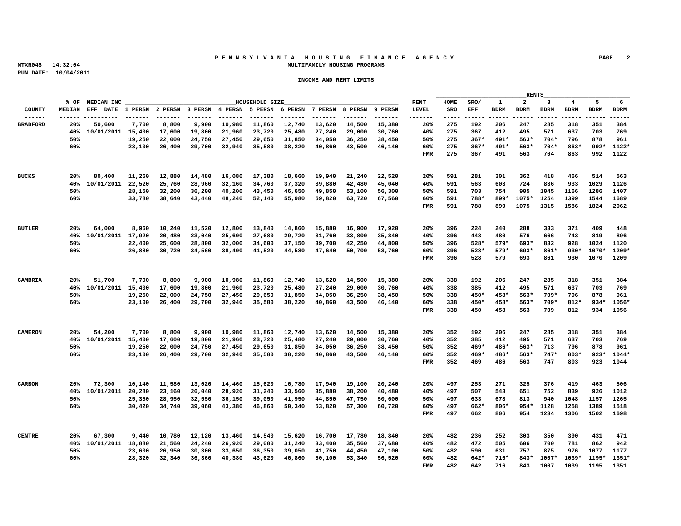# P E N N S Y L V A N I A H O U S I N G F I N A N C E A G E N C Y <sup>PAGE</sup> 2<br>MULTIFAMILY HOUSING PROGRAMS  **MTXR046 14:32:04 MULTIFAMILY HOUSING PROGRAMS**

|                 |                 |                                                                               |  |                |  |                                                                        |      |                                                |  | RENTS   |                     |  |
|-----------------|-----------------|-------------------------------------------------------------------------------|--|----------------|--|------------------------------------------------------------------------|------|------------------------------------------------|--|---------|---------------------|--|
|                 | % OF MEDIAN INC |                                                                               |  | HOUSEHOLD SIZE |  |                                                                        | RENT | HOME SRO/ 1 2 3 4 5 6                          |  |         |                     |  |
|                 |                 |                                                                               |  |                |  |                                                                        |      |                                                |  |         |                     |  |
|                 |                 |                                                                               |  |                |  |                                                                        |      |                                                |  |         |                     |  |
| <b>BRADFORD</b> | 20% 50.600      |                                                                               |  |                |  | 7,700 8,800 9,900 10,980 11,860 12,740 13,620 14,500 15,380            |      | 20% 275 192 206 247 285 318 351 384            |  |         |                     |  |
|                 |                 | 40% 10/01/2011 15,400 17,600 19,800 21,960 23,720 25,480 27,240 29,000 30,760 |  |                |  |                                                                        |      | 40% 275 367 412 495 571 637 703 769            |  |         |                     |  |
|                 |                 |                                                                               |  |                |  | 19,250 22,000 24,750 27,450 29,650 31,850 34,050 36.250 38.450         |      | 50% 275 367* 491* 563* 704* 796 878 961        |  |         |                     |  |
|                 | 60%             |                                                                               |  |                |  | 23,100 26,400 29,700 32,940 35,580 38,220 40,860 43,500 46,140         |      | 60% 275 367* 491* 563* 704* 863* 992* 1122*    |  |         |                     |  |
|                 |                 |                                                                               |  |                |  |                                                                        |      | FMR 275 367 491 563 704 863 992 1122           |  |         |                     |  |
|                 |                 |                                                                               |  |                |  |                                                                        |      |                                                |  |         |                     |  |
|                 |                 |                                                                               |  |                |  |                                                                        |      |                                                |  |         |                     |  |
| BUCKS           |                 | 20% 80,400 11,260 12,880 14,480 16,080 17,380 18,660 19,940 21,240 22,520     |  |                |  |                                                                        |      | 20% 591 281 301 362 418 466 514 563            |  |         |                     |  |
|                 |                 | 40% 10/01/2011 22,520 25,760 28,960 32,160 34,760 37,320 39,880 42,480 45,040 |  |                |  |                                                                        |      | 40% 591 563 603 724 836 933 1029 1126          |  |         |                     |  |
|                 | 50%             |                                                                               |  |                |  | 28,150 32,200 36,200 40,200 43,450 46,650 49,850 53,100 56,300         |      | 50% 591 703 754 905 1045 1166 1286 1407        |  |         |                     |  |
|                 | 60%             |                                                                               |  |                |  | 33,780 38,640 43,440 48,240 52,140 55,980 59,820 63,720 67,560         |      | 60% 591 788* 899* 1075* 1254 1399 1544 1689    |  |         |                     |  |
|                 |                 |                                                                               |  |                |  |                                                                        |      | FMR 591 788 899 1075 1315 1586 1824 2062       |  |         |                     |  |
|                 |                 |                                                                               |  |                |  |                                                                        |      |                                                |  |         |                     |  |
|                 |                 |                                                                               |  |                |  |                                                                        |      |                                                |  |         |                     |  |
| <b>BUTLER</b>   |                 | 20% 64,000 8,960 10,240 11,520 12,800 13,840 14,860 15,880 16,900 17,920      |  |                |  |                                                                        |      | 20% 396 224 240 288 333 371 409 448            |  |         |                     |  |
|                 |                 | 40% 10/01/2011 17,920 20,480 23,040 25,600 27,680 29,720 31,760 33,800 35,840 |  |                |  |                                                                        |      | 40% 396 448 480 576 666 743 819 896            |  |         |                     |  |
|                 | 50%             |                                                                               |  |                |  | 22,400 25,600 28,800 32,000 34,600 37,150 39,700 42,250 44,800         |      | 50% 396 528* 579* 693* 832 928 1024 1120       |  |         |                     |  |
|                 | 60%             |                                                                               |  |                |  | 26,880 30,720 34,560 38,400 41,520 44,580 47,640 50,700 53,760         |      | 60% 396 528* 579* 693* 861* 930* 1070* 1209*   |  |         |                     |  |
|                 |                 |                                                                               |  |                |  |                                                                        |      | FMR 396 528 579 693 861 930 1070 1209          |  |         |                     |  |
|                 |                 |                                                                               |  |                |  |                                                                        |      |                                                |  |         |                     |  |
|                 |                 |                                                                               |  |                |  |                                                                        |      |                                                |  |         |                     |  |
|                 | 20% 51,700      |                                                                               |  |                |  | 7,700 8,800 9,900 10,980 11,860 12,740 13,620 14,500 15,380            |      | 20  338  192  206  247  285  318  351  384     |  |         |                     |  |
|                 |                 | 40% 10/01/2011 15,400 17,600 19,800 21,960 23,720 25,480 27,240 29,000 30,760 |  |                |  |                                                                        |      | 40% 338 385 412 495 571 637 703 769            |  |         |                     |  |
|                 | 50%             |                                                                               |  |                |  | 19,250  22,000  24,750  27,450  29,650  31,850  34,050  36,250  38,450 |      | 50% 338 450* 458* 563* 709* 796 878 961        |  |         |                     |  |
|                 |                 |                                                                               |  |                |  |                                                                        |      |                                                |  |         |                     |  |
|                 | 60%             |                                                                               |  |                |  | 23,100 26,400 29,700 32,940 35,580 38,220 40,860 43,500 46,140         |      | 60% 338 450* 458* 563* 709* 812* 934* 1056*    |  |         |                     |  |
|                 |                 |                                                                               |  |                |  |                                                                        |      | FMR 338 450 458 563 709 812 934 1056           |  |         |                     |  |
|                 |                 |                                                                               |  |                |  |                                                                        |      |                                                |  |         |                     |  |
|                 |                 |                                                                               |  |                |  |                                                                        |      |                                                |  |         |                     |  |
| CAMERON         | 20% 54,200      |                                                                               |  |                |  | 7,700 8,800 9,900 10,980 11,860 12,740 13,620 14,500 15,380            |      | 20% 352 192 206 247 285 318 351 384            |  |         |                     |  |
|                 |                 | 40% 10/01/2011 15,400 17,600 19,800 21,960 23,720 25,480 27,240 29,000 30,760 |  |                |  |                                                                        |      | 40% 352 385 412 495 571 637 703 769            |  |         |                     |  |
|                 | 50%             |                                                                               |  |                |  | 19,250 22,000 24,750 27,450 29,650 31,850 34,050 36,250 38,450         |      | 50% 352 469* 486* 563* 713 796 878 961         |  |         |                     |  |
|                 | 60%             |                                                                               |  |                |  | 23,100 26,400 29,700 32,940 35,580 38,220 40,860 43,500 46,140         |      | 60% 352 469* 486* 563* 747* 803* 923* 1044*    |  |         |                     |  |
|                 |                 |                                                                               |  |                |  |                                                                        |      | FMR 352 469 486 563 747 803 923 1044           |  |         |                     |  |
|                 |                 |                                                                               |  |                |  |                                                                        |      |                                                |  |         |                     |  |
|                 |                 |                                                                               |  |                |  |                                                                        |      |                                                |  |         |                     |  |
| CARRON          |                 | 20% 72,300 10,140 11,580 13,020 14,460 15,620 16,780 17,940 19,100 20,240     |  |                |  |                                                                        |      | 20% 497 253 271 325 376 419 463 506            |  |         |                     |  |
|                 |                 | 40% 10/01/2011 20,280 23,160 26,040 28,920 31,240 33,560 35,880 38,200 40,480 |  |                |  |                                                                        |      | 40% 497 507 543 651 752 839 926 1012           |  |         |                     |  |
|                 | 50%             |                                                                               |  |                |  | 25,350 28,950 32,550 36,150 39,050 41,950 44,850 47,750 50,600         |      | 50% 497 633 678 813 940 1048 1157 1265         |  |         |                     |  |
|                 | 60%             |                                                                               |  |                |  | 30,420 34,740 39,060 43,380 46,860 50,340 53,820 57.300 60.720         |      | 60% 497 662* 806* 954* 1128 1258 1389 1518     |  |         |                     |  |
|                 |                 |                                                                               |  |                |  |                                                                        |      | FMR 497 662 806 954 1234 1306 1502 1698        |  |         |                     |  |
|                 |                 |                                                                               |  |                |  |                                                                        |      |                                                |  |         |                     |  |
|                 |                 |                                                                               |  |                |  |                                                                        |      |                                                |  |         |                     |  |
| <b>CENTRE</b>   |                 | 20% 67,300 9,440 10,780 12,120 13,460 14,540 15,620 16,700 17,780 18,840      |  |                |  |                                                                        |      | 20% 482 236 252                                |  | 303 350 | 390 431 471         |  |
|                 |                 | 40% 10/01/2011 18,880 21,560 24,240 26,920 29,080 31,240 33,400 35,560 37,680 |  |                |  |                                                                        |      | 40% 482 472 505                                |  |         | 606 700 781 862 942 |  |
|                 | 50%             |                                                                               |  |                |  | 23,600  26,950  30,300  33,650  36,350  39,050  41,750  44,450  47,100 |      | 50% 482 590 631 757 875 976 1077 1177          |  |         |                     |  |
|                 | 60%             |                                                                               |  |                |  | 28,320 32,340 36,360 40,380 43,620 46,860 50,100 53,340 56,520         |      | 60% 482 642* 716* 843* 1007* 1039* 1195* 1351* |  |         |                     |  |
|                 |                 |                                                                               |  |                |  |                                                                        |      | FMR 482 642 716 843 1007 1039 1195 1351        |  |         |                     |  |
|                 |                 |                                                                               |  |                |  |                                                                        |      |                                                |  |         |                     |  |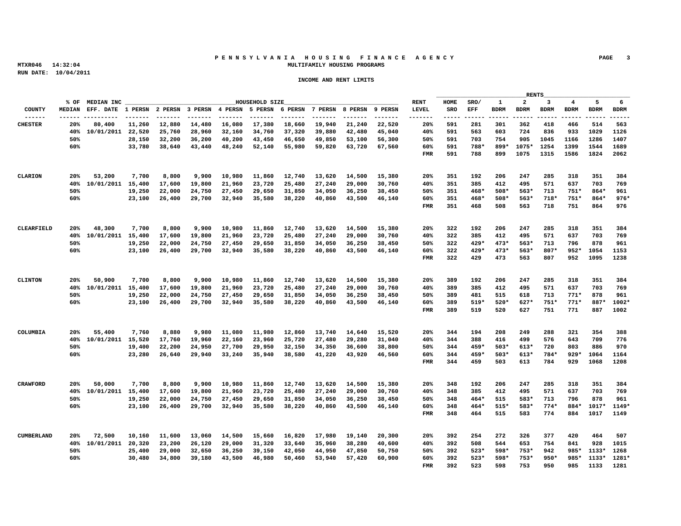# P E N N S Y L V A N I A H O U S I N G F I N A N C E A G E N C Y KAGE 3<br>MULTIFAMILY HOUSING PROGRAMS  **MTXR046 14:32:04 MULTIFAMILY HOUSING PROGRAMS**

|            |     |                 |                                                                                                                                  |  |                |  |  |      | <u> The Common State Common State Common State Common State Common State Common State Common State Common State Common State Common State Common State Common State Common State Common State Common State Common State Common S</u> |  | RENTS |                                                                                        |  |
|------------|-----|-----------------|----------------------------------------------------------------------------------------------------------------------------------|--|----------------|--|--|------|--------------------------------------------------------------------------------------------------------------------------------------------------------------------------------------------------------------------------------------|--|-------|----------------------------------------------------------------------------------------|--|
|            |     | % OF MEDIAN INC |                                                                                                                                  |  | HOUSEHOLD SIZE |  |  | RENT |                                                                                                                                                                                                                                      |  |       | HOME SRO/ 1 2 3 4 5 6                                                                  |  |
|            |     |                 |                                                                                                                                  |  |                |  |  |      |                                                                                                                                                                                                                                      |  |       |                                                                                        |  |
|            |     |                 |                                                                                                                                  |  |                |  |  |      |                                                                                                                                                                                                                                      |  |       |                                                                                        |  |
|            |     |                 | 20% 80,400 11,260 12,880 14,480 16,080 17,380 18,660 19,940 21,240 22,520                                                        |  |                |  |  |      |                                                                                                                                                                                                                                      |  |       | 20% 591 281 301 362 418 466 514 563<br>40% 591 563 603 724 836 933 1029 1126           |  |
|            |     |                 | 40% 10/01/2011 22,520 25,760 28,960 32,160 34,760 37,320 39,880 42,480 45,040                                                    |  |                |  |  |      |                                                                                                                                                                                                                                      |  |       |                                                                                        |  |
|            |     |                 | 28,150 32,200 36,200 40,200 43,450 46,650 49,850 53.100 56.300<br>33,780 38,640 43,440 48,240 52,140 55,980 59,820 63,720 67,560 |  |                |  |  |      |                                                                                                                                                                                                                                      |  |       | 50% 591 703 754 905 1045 1166 1286 1407<br>60% 591 788* 899* 1075* 1254 1399 1544 1689 |  |
|            | 60% |                 |                                                                                                                                  |  |                |  |  |      |                                                                                                                                                                                                                                      |  |       | FMR 591 788 899 1075 1315 1586 1824 2062                                               |  |
|            |     |                 |                                                                                                                                  |  |                |  |  |      |                                                                                                                                                                                                                                      |  |       |                                                                                        |  |
|            |     |                 |                                                                                                                                  |  |                |  |  |      |                                                                                                                                                                                                                                      |  |       |                                                                                        |  |
|            |     |                 | 20% 53,200 7,700 8,800 9,900 10,980 11,860 12,740 13,620 14,500 15,380                                                           |  |                |  |  |      |                                                                                                                                                                                                                                      |  |       | 20% 351 192 206 247 285 318 351 384                                                    |  |
|            |     |                 | 40% 10/01/2011 15,400 17,600 19,800 21,960 23,720 25,480 27,240 29,000 30,760                                                    |  |                |  |  |      |                                                                                                                                                                                                                                      |  |       | 40% 351 385 412 495 571 637 703 769                                                    |  |
|            | 50% |                 | 19,250  22,000  24,750  27,450  29,650  31,850  34,050  36,250  38,450                                                           |  |                |  |  |      |                                                                                                                                                                                                                                      |  |       | 50% 351 468* 508* 563* 713 751* 864* 961                                               |  |
|            | 60% |                 | 23,100 26,400 29,700 32,940 35,580 38,220 40,860 43,500 46,140                                                                   |  |                |  |  |      |                                                                                                                                                                                                                                      |  |       | 60% 351 468* 508* 563* 718* 751* 864* 976*                                             |  |
|            |     |                 |                                                                                                                                  |  |                |  |  |      |                                                                                                                                                                                                                                      |  |       | FMR 351 468 508 563 718 751 864 976                                                    |  |
|            |     |                 |                                                                                                                                  |  |                |  |  |      |                                                                                                                                                                                                                                      |  |       |                                                                                        |  |
|            |     |                 |                                                                                                                                  |  |                |  |  |      |                                                                                                                                                                                                                                      |  |       |                                                                                        |  |
| CLEARFIELD |     | 20% 48,300      | 7,700 8,800 9,900 10,980 11,860 12,740 13,620 14,500 15,380                                                                      |  |                |  |  |      |                                                                                                                                                                                                                                      |  |       | 20% 322 192 206 247 285 318 351 384                                                    |  |
|            |     |                 | 40% 10/01/2011 15,400 17,600 19,800 21,960 23,720 25,480 27,240 29,000 30,760                                                    |  |                |  |  |      |                                                                                                                                                                                                                                      |  |       | 40% 322 385 412 495 571 637 703 769                                                    |  |
|            | 50% |                 | 19,250  22,000  24,750  27,450  29,650  31,850  34,050  36,250  38,450                                                           |  |                |  |  |      |                                                                                                                                                                                                                                      |  |       | 50% 322 429* 473* 563* 713 796 878 961                                                 |  |
|            | 60% |                 | 23,100 26,400 29,700 32,940 35,580 38,220 40,860 43,500 46,140                                                                   |  |                |  |  |      |                                                                                                                                                                                                                                      |  |       | 60% 322 429* 473* 563* 807* 952* 1054 1153                                             |  |
|            |     |                 |                                                                                                                                  |  |                |  |  |      |                                                                                                                                                                                                                                      |  |       | FMR 322 429 473 563 807 952 1095 1238                                                  |  |
|            |     |                 |                                                                                                                                  |  |                |  |  |      |                                                                                                                                                                                                                                      |  |       |                                                                                        |  |
|            |     |                 |                                                                                                                                  |  |                |  |  |      |                                                                                                                                                                                                                                      |  |       |                                                                                        |  |
| CLINTON    |     | 20% 50,900      | 7,700 8,800 9,900 10,980 11,860 12,740 13,620 14,500 15,380                                                                      |  |                |  |  |      |                                                                                                                                                                                                                                      |  |       | 20% 389 192 206 247 285 318 351 384                                                    |  |
|            |     |                 | 40% 10/01/2011 15,400 17,600 19,800 21,960 23,720 25,480 27,240 29,000 30,760                                                    |  |                |  |  |      | 40% 389 385 412 495 571                                                                                                                                                                                                              |  |       | 637 703 769                                                                            |  |
|            | 50% |                 | 19,250  22,000  24,750  27,450  29,650  31,850  34,050  36,250  38,450                                                           |  |                |  |  |      |                                                                                                                                                                                                                                      |  |       | 50% 389 481 515 618 713 771* 878 961                                                   |  |
|            | 60% |                 | 23,100 26,400 29,700 32,940 35,580 38,220 40,860 43,500 46,140                                                                   |  |                |  |  |      |                                                                                                                                                                                                                                      |  |       | 60% 389 519* 520* 627* 751* 771* 887* 1002*                                            |  |
|            |     |                 |                                                                                                                                  |  |                |  |  |      |                                                                                                                                                                                                                                      |  |       | FMR 389 519 520 627 751 771 887 1002                                                   |  |
|            |     |                 |                                                                                                                                  |  |                |  |  |      |                                                                                                                                                                                                                                      |  |       |                                                                                        |  |
|            |     |                 |                                                                                                                                  |  |                |  |  |      |                                                                                                                                                                                                                                      |  |       |                                                                                        |  |
| COLIMBIA   |     | 20% 55,400      | 7,760 8,880 9,980 11,080 11,980 12,860 13,740 14,640 15,520                                                                      |  |                |  |  |      |                                                                                                                                                                                                                                      |  |       | 20% 344 194 208 249 288 321 354 388                                                    |  |
|            |     |                 | 40% 10/01/2011 15,520 17,760 19,960 22,160 23,960 25,720 27,480 29,280 31,040                                                    |  |                |  |  |      |                                                                                                                                                                                                                                      |  |       | 40% 344 388 416 499 576 643 709 776                                                    |  |
|            | 50% |                 | 19,400 22,200 24,950 27,700 29,950 32,150 34,350 36,600 38,800                                                                   |  |                |  |  |      |                                                                                                                                                                                                                                      |  |       | 50% 344 459* 503* 613* 720 803 886 970                                                 |  |
|            | 60% |                 | 23,280 26,640 29,940 33,240 35,940 38,580 41,220 43,920 46,560                                                                   |  |                |  |  |      |                                                                                                                                                                                                                                      |  |       | 60% 344 459* 503* 613* 784* 929* 1064 1164                                             |  |
|            |     |                 |                                                                                                                                  |  |                |  |  |      |                                                                                                                                                                                                                                      |  |       | FMR 344 459 503 613 784 929 1068 1208                                                  |  |
|            |     |                 |                                                                                                                                  |  |                |  |  |      |                                                                                                                                                                                                                                      |  |       |                                                                                        |  |
|            |     |                 |                                                                                                                                  |  |                |  |  |      |                                                                                                                                                                                                                                      |  |       |                                                                                        |  |
|            |     | 20% 50,000      | 7,700 8,800 9,900 10,980 11,860 12,740 13,620 14,500 15,380                                                                      |  |                |  |  |      | 20% 348 192 206                                                                                                                                                                                                                      |  |       | 247 285 318 351 384                                                                    |  |
|            |     |                 | 40% 10/01/2011 15,400 17,600 19,800 21,960 23,720 25,480 27,240 29,000 30,760                                                    |  |                |  |  |      |                                                                                                                                                                                                                                      |  |       | 40% 348 385 412 495 571 637 703 769                                                    |  |
|            | 50% |                 | 19,250 22,000 24,750 27,450 29,650 31,850 34,050 36,250 38,450                                                                   |  |                |  |  |      |                                                                                                                                                                                                                                      |  |       | 50% 348 464* 515 583* 713 796 878 961                                                  |  |
|            | 60% |                 | 23,100 26,400 29,700 32,940 35,580 38,220 40,860 43,500 46,140                                                                   |  |                |  |  |      |                                                                                                                                                                                                                                      |  |       | 60% 348 464* 515* 583* 774* 884* 1017* 1149*                                           |  |
|            |     |                 |                                                                                                                                  |  |                |  |  |      |                                                                                                                                                                                                                                      |  |       | FMR 348 464 515 583 774 884 1017 1149                                                  |  |
|            |     |                 |                                                                                                                                  |  |                |  |  |      |                                                                                                                                                                                                                                      |  |       |                                                                                        |  |
|            |     |                 |                                                                                                                                  |  |                |  |  |      |                                                                                                                                                                                                                                      |  |       |                                                                                        |  |
| CIMBERLAND |     | 20% 72,500      | 10,160  11,600  13,060  14,500  15,660  16,820  17,980  19,140  20,300                                                           |  |                |  |  |      | 20% 392 254 272 326 377                                                                                                                                                                                                              |  |       | 420 464 507                                                                            |  |
|            |     |                 | 40% 10/01/2011 20,320 23,200 26,120 29,000 31,320 33,640 35,960 38,280 40,600                                                    |  |                |  |  |      |                                                                                                                                                                                                                                      |  |       | 40% 392 508 544 653 754 841 928 1015                                                   |  |
|            | 50% |                 | 25,400 29,000 32,650 36,250 39,150 42,050 44,950 47.850 50.750                                                                   |  |                |  |  |      |                                                                                                                                                                                                                                      |  |       | 50% 392 523* 598* 753* 942 985* 1133* 1268                                             |  |
|            | 60% |                 | 30,480 34,800 39,180 43,500 46,980 50,460 53,940 57,420 60,900                                                                   |  |                |  |  |      |                                                                                                                                                                                                                                      |  |       | 60% 392 523* 598* 753* 950* 985* 1133* 1281*                                           |  |
|            |     |                 |                                                                                                                                  |  |                |  |  |      |                                                                                                                                                                                                                                      |  |       | FMR 392 523 598 753 950 985 1133 1281                                                  |  |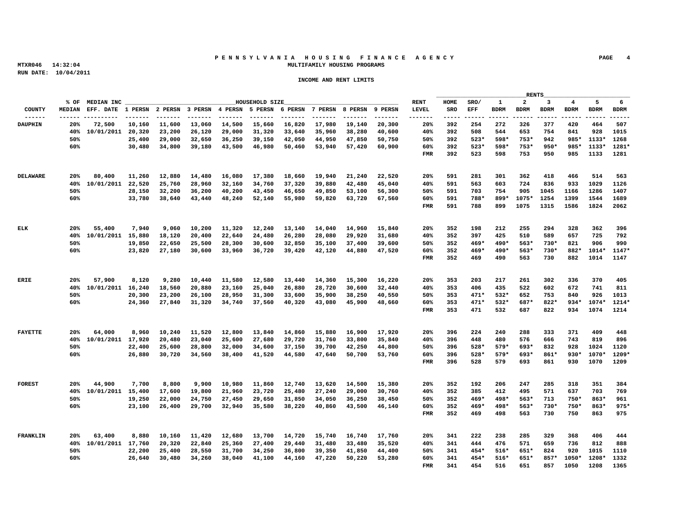# **P E N N S Y L V A N I A H O U S I N G F I N A N C E A G E N C Y PAGE 4 MTXR046 14:32:04 MULTIFAMILY HOUSING PROGRAMS**

|                 |     |                 |                                                                               |  |                |  |                                                                                                                                  |      |                 |  | RENTS |                                     |                                                                                 |
|-----------------|-----|-----------------|-------------------------------------------------------------------------------|--|----------------|--|----------------------------------------------------------------------------------------------------------------------------------|------|-----------------|--|-------|-------------------------------------|---------------------------------------------------------------------------------|
|                 |     | % OF MEDIAN INC |                                                                               |  | HOUSEHOLD SIZE |  |                                                                                                                                  | RENT |                 |  |       |                                     | HOME SRO/ 1 2 3 4 5 6                                                           |
|                 |     |                 |                                                                               |  |                |  |                                                                                                                                  |      |                 |  |       |                                     |                                                                                 |
| DAUPHIN         | 20% | 72.500          |                                                                               |  |                |  | 10,160  11,600  13,060  14,500  15,660  16,820  17,980  19,140  20,300                                                           |      |                 |  |       |                                     | 20% 392 254 272 326 377 420 464 507                                             |
|                 |     |                 | 40% 10/01/2011 20.320 23.200 26.120 29.000 31.320 33.640 35.960 38.280 40.600 |  |                |  |                                                                                                                                  |      |                 |  |       |                                     | 40% 392 508 544 653 754 841 928 1015                                            |
|                 | 50% |                 |                                                                               |  |                |  | 25,400 29,000 32,650 36,250 39,150 42,050 44,950 47,850 50,750                                                                   |      |                 |  |       |                                     | 50% 392 523* 598* 753* 942 985* 1133* 1268                                      |
|                 | 60% |                 |                                                                               |  |                |  | 30,480 34,800 39,180 43,500 46,980 50,460 53,940 57,420 60,900                                                                   |      |                 |  |       |                                     | 60% 392 523* 598* 753* 950* 985* 1133* 1281*                                    |
|                 |     |                 |                                                                               |  |                |  |                                                                                                                                  |      |                 |  |       |                                     | FMR 392 523 598 753 950 985 1133 1281                                           |
|                 |     |                 |                                                                               |  |                |  |                                                                                                                                  |      |                 |  |       |                                     |                                                                                 |
|                 |     |                 |                                                                               |  |                |  |                                                                                                                                  |      |                 |  |       |                                     |                                                                                 |
| <b>DELAWARE</b> |     |                 | 20% 80,400 11,260 12,880 14,480 16,080 17,380 18,660 19,940 21,240 22,520     |  |                |  |                                                                                                                                  |      |                 |  |       |                                     | 20% 591 281 301 362 418 466 514 563                                             |
|                 |     |                 | 40% 10/01/2011 22,520 25,760 28,960 32,160 34,760 37,320 39,880 42,480 45,040 |  |                |  |                                                                                                                                  |      |                 |  |       |                                     | 40% 591 563 603 724 836 933 1029 1126                                           |
|                 | 50% |                 |                                                                               |  |                |  | 28,150 32,200 36,200 40,200 43,450 46,650 49,850 53.100 56.300                                                                   |      |                 |  |       |                                     | 50% 591 703 754 905 1045 1166 1286 1407                                         |
|                 | 60% |                 |                                                                               |  |                |  | 33,780 38,640 43,440 48,240 52,140 55,980 59,820 63,720 67,560                                                                   |      |                 |  |       |                                     | 60% 591 788* 899* 1075* 1254 1399 1544 1689                                     |
|                 |     |                 |                                                                               |  |                |  |                                                                                                                                  |      |                 |  |       |                                     | FMR 591 788 899 1075 1315 1586 1824 2062                                        |
|                 |     |                 |                                                                               |  |                |  |                                                                                                                                  |      |                 |  |       |                                     |                                                                                 |
|                 |     |                 |                                                                               |  |                |  |                                                                                                                                  |      |                 |  |       |                                     |                                                                                 |
| ELK             |     |                 | 20% 55,400 7,940 9,060 10,200 11,320 12,240 13,140 14,040 14,960 15,840       |  |                |  |                                                                                                                                  |      |                 |  |       |                                     | 20% 352 198 212 255 294 328 362 396                                             |
|                 |     |                 | 40% 10/01/2011 15,880 18,120 20,400 22,640 24,480 26,280 28,080 29,920 31,680 |  |                |  |                                                                                                                                  |      |                 |  |       |                                     | 40% 352 397 425 510 589 657 725 792                                             |
|                 | 50% |                 |                                                                               |  |                |  | 19,850  22,650  25,500  28,300  30,600  32,850  35,100  37,400  39,600                                                           |      |                 |  |       | 50% 352 469* 490* 563* 730* 821 906 | 990                                                                             |
|                 | 60% |                 |                                                                               |  |                |  | 23.820 27.180 30.600 33.960 36.720 39.420 42.120 44.880 47.520                                                                   |      |                 |  |       |                                     | $60\%$ 352 $469*$ $490*$ 563* 730* 882* 1014* 1147*                             |
|                 |     |                 |                                                                               |  |                |  |                                                                                                                                  |      |                 |  |       |                                     | FMR 352 469 490 563 730 882 1014 1147                                           |
|                 |     |                 |                                                                               |  |                |  |                                                                                                                                  |      |                 |  |       |                                     |                                                                                 |
|                 |     |                 |                                                                               |  |                |  |                                                                                                                                  |      |                 |  |       |                                     |                                                                                 |
| <b>ERIE</b>     |     |                 | 20% 57,900 8,120 9,280 10,440 11,580 12,580 13,440 14,360 15,300 16,220       |  |                |  |                                                                                                                                  |      |                 |  |       |                                     | 20% 353 203 217 261 302 336 370 405                                             |
|                 |     |                 | 40% 10/01/2011 16,240 18,560 20,880 23,160 25,040 26,880 28,720 30,600 32,440 |  |                |  |                                                                                                                                  |      |                 |  |       |                                     | 40% 353 406 435 522 602 672 741 811                                             |
|                 | 50% |                 |                                                                               |  |                |  | 20,300 23,200 26,100 28,950 31,300 33,600 35,900 38,250 40,550                                                                   |      |                 |  |       |                                     | 50% 353 471* 532* 652 753 840 926 1013                                          |
|                 | 60% |                 |                                                                               |  |                |  | 24,360 27,840 31,320 34,740 37,560 40,320 43,080 45,900 48,660                                                                   |      |                 |  |       |                                     | 60% 353 471* 532* 687* 822* 934* 1074* 1214*                                    |
|                 |     |                 |                                                                               |  |                |  |                                                                                                                                  |      |                 |  |       |                                     | FMR 353 471 532 687 822 934 1074 1214                                           |
|                 |     |                 |                                                                               |  |                |  |                                                                                                                                  |      |                 |  |       |                                     |                                                                                 |
|                 |     |                 |                                                                               |  |                |  |                                                                                                                                  |      |                 |  |       |                                     |                                                                                 |
| <b>FAYETTE</b>  |     | 20% 64,000      |                                                                               |  |                |  | 8,960 10,240 11,520 12,800 13,840 14,860 15,880 16,900 17,920                                                                    |      |                 |  |       |                                     | 20% 396 224 240 288 333 371 409 448                                             |
|                 | 50% |                 | 40% 10/01/2011 17,920 20,480 23,040 25,600 27,680 29,720 31,760 33,800 35,840 |  |                |  |                                                                                                                                  |      |                 |  |       |                                     | 40% 396 448 480 576 666 743 819 896<br>50% 396 528* 579* 693* 832 928 1024 1120 |
|                 | 60% |                 |                                                                               |  |                |  | 22,400 25,600 28,800 32,000 34,600 37,150 39,700 42,250 44,800<br>26,880 30,720 34,560 38,400 41,520 44,580 47,640 50,700 53,760 |      |                 |  |       |                                     | 60% 396 528* 579* 693* 861* 930* 1070* 1209*                                    |
|                 |     |                 |                                                                               |  |                |  |                                                                                                                                  |      |                 |  |       |                                     | FMR 396 528 579 693 861 930 1070 1209                                           |
|                 |     |                 |                                                                               |  |                |  |                                                                                                                                  |      |                 |  |       |                                     |                                                                                 |
|                 |     |                 |                                                                               |  |                |  |                                                                                                                                  |      |                 |  |       |                                     |                                                                                 |
| <b>FOREST</b>   |     | 20% 44,900      |                                                                               |  |                |  | 7,700 8,800 9,900 10,980 11,860 12,740 13,620 14,500 15,380                                                                      |      |                 |  |       |                                     | 20% 352 192 206 247 285 318 351 384                                             |
|                 |     |                 | 40% 10/01/2011 15,400 17,600 19,800 21,960 23,720 25,480 27,240 29,000 30,760 |  |                |  |                                                                                                                                  |      |                 |  |       |                                     | 40% 352 385 412 495 571 637 703 769                                             |
|                 | 50% |                 |                                                                               |  |                |  | 19,250 22,000 24,750 27,450 29,650 31,850 34,050 36,250 38,450                                                                   |      |                 |  |       |                                     | 50% 352 469* 498* 563* 713 750* 863* 961                                        |
|                 | 60% |                 |                                                                               |  |                |  | 23,100 26,400 29,700 32,940 35,580 38,220 40,860 43,500 46,140                                                                   |      |                 |  |       |                                     | 60% 352 469* 498* 563* 730* 750* 863* 975*                                      |
|                 |     |                 |                                                                               |  |                |  |                                                                                                                                  |      |                 |  |       |                                     | FMR 352 469 498 563 730 750 863 975                                             |
|                 |     |                 |                                                                               |  |                |  |                                                                                                                                  |      |                 |  |       |                                     |                                                                                 |
|                 |     |                 |                                                                               |  |                |  |                                                                                                                                  |      |                 |  |       |                                     |                                                                                 |
|                 |     | 20% 63,400      |                                                                               |  |                |  | 8,880 10,160 11,420 12,680 13,700 14,720 15,740 16,740 17,760                                                                    |      | 20% 341 222 238 |  |       |                                     | 285 329 368 406 444                                                             |
|                 |     |                 | 40% 10/01/2011 17.760 20.320 22.840 25.360 27.400 29.440 31.480 33.480 35.520 |  |                |  |                                                                                                                                  |      |                 |  |       |                                     | 40% 341 444 476 571 659 736 812 888                                             |
|                 | 50% |                 |                                                                               |  |                |  | 22,200 25,400 28,550 31,700 34,250 36,800 39,350 41,850 44,400                                                                   |      |                 |  |       |                                     | 50% 341 454* 516* 651* 824 920 1015 1110                                        |
|                 | 60% |                 |                                                                               |  |                |  | 26,640 30,480 34,260 38,040 41,100 44,160 47,220 50,220 53,280                                                                   |      |                 |  |       |                                     | 60% 341 454* 516* 651* 857* 1050* 1208* 1332                                    |
|                 |     |                 |                                                                               |  |                |  |                                                                                                                                  |      |                 |  |       |                                     | FMR 341 454 516 651 857 1050 1208 1365                                          |
|                 |     |                 |                                                                               |  |                |  |                                                                                                                                  |      |                 |  |       |                                     |                                                                                 |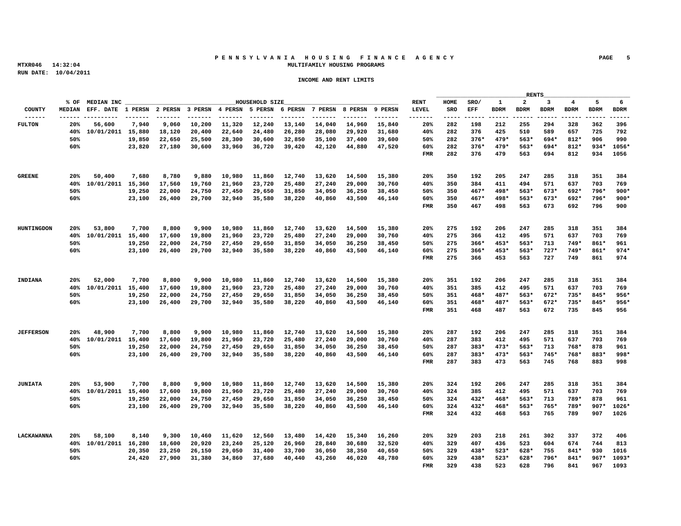# **P E N N S Y L V A N I A H O U S I N G F I N A N C E A G E N C Y PAGE 5 MTXR046 14:32:04 MULTIFAMILY HOUSING PROGRAMS**

|                    |                 |                                                                               |  |                |  |                                                                        |  |                 |  | RENTS |                                             |  |
|--------------------|-----------------|-------------------------------------------------------------------------------|--|----------------|--|------------------------------------------------------------------------|--|-----------------|--|-------|---------------------------------------------|--|
|                    | % OF MEDIAN INC |                                                                               |  | HOUSEHOLD SIZE |  |                                                                        |  |                 |  |       | RENT HOME SRO/ 1 2 3 4 5 6                  |  |
|                    |                 |                                                                               |  |                |  |                                                                        |  |                 |  |       |                                             |  |
|                    |                 |                                                                               |  |                |  |                                                                        |  |                 |  |       | 20% 282 198 212 255 294 328 362 396         |  |
|                    | 20% 56,600      | 40% 10/01/2011 15,880 18,120 20,400 22,640 24,480 26,280 28,080 29,920 31,680 |  |                |  | 7,940  9,060  10,200  11,320  12,240  13,140  14,040  14,960  15,840   |  |                 |  |       | 40% 282 376 425 510 589 657 725 792         |  |
|                    |                 |                                                                               |  |                |  | 19,850  22,650  25,500  28,300  30,600  32,850  35,100  37,400  39,600 |  |                 |  |       | 50% 282 376* 479* 563* 694* 812* 906 990    |  |
|                    | 60%             |                                                                               |  |                |  | 23,820 27,180 30,600 33,960 36,720 39,420 42,120 44,880 47,520         |  |                 |  |       | 60% 282 376* 479* 563* 694* 812* 934* 1056* |  |
|                    |                 |                                                                               |  |                |  |                                                                        |  |                 |  |       | FMR 282 376 479 563 694 812 934 1056        |  |
|                    |                 |                                                                               |  |                |  |                                                                        |  |                 |  |       |                                             |  |
|                    |                 |                                                                               |  |                |  |                                                                        |  |                 |  |       |                                             |  |
|                    |                 | 20% 50,400 7,680 8,780 9,880 10,980 11,860 12,740 13,620 14,500 15,380        |  |                |  |                                                                        |  |                 |  |       | 20% 350 192 205 247 285 318 351 384         |  |
|                    |                 | 40% 10/01/2011 15,360 17,560 19,760 21,960 23,720 25,480 27,240 29,000 30,760 |  |                |  |                                                                        |  |                 |  |       | 40% 350 384 411 494 571 637 703 769         |  |
|                    | 50%             |                                                                               |  |                |  | 19,250 22,000 24,750 27,450 29,650 31,850 34,050 36,250 38,450         |  |                 |  |       | 50% 350 467* 498* 563* 673* 692* 796* 900*  |  |
|                    | 60%             |                                                                               |  |                |  | 23,100 26,400 29,700 32,940 35,580 38,220 40,860 43.500 46.140         |  |                 |  |       | 60% 350 467* 498* 563* 673* 692* 796* 900*  |  |
|                    |                 |                                                                               |  |                |  |                                                                        |  |                 |  |       | FMR 350 467 498 563 673 692 796 900         |  |
|                    |                 |                                                                               |  |                |  |                                                                        |  |                 |  |       |                                             |  |
|                    |                 |                                                                               |  |                |  |                                                                        |  |                 |  |       |                                             |  |
| HUNTINGDON         |                 | 20% 53,800 7,700 8,800 9,900 10,980 11,860 12,740 13,620 14,500 15,380        |  |                |  |                                                                        |  |                 |  |       | 20% 275 192 206 247 285 318 351 384         |  |
|                    |                 | 40% 10/01/2011 15,400 17,600 19,800 21,960 23,720 25,480 27,240 29,000 30,760 |  |                |  |                                                                        |  |                 |  |       | 40% 275 366 412 495 571 637 703 769         |  |
|                    | 50%             |                                                                               |  |                |  | 19,250 22,000 24,750 27,450 29,650 31,850 34,050 36,250 38,450         |  |                 |  |       | 50% 275 366* 453* 563* 713 749* 861* 961    |  |
|                    | 60%             |                                                                               |  |                |  | 23,100 26,400 29,700 32,940 35,580 38,220 40,860 43,500 46,140         |  |                 |  |       | 60% 275 366* 453* 563* 727* 749* 861* 974*  |  |
|                    |                 |                                                                               |  |                |  |                                                                        |  |                 |  |       | FMR 275 366 453 563 727 749 861 974         |  |
|                    |                 |                                                                               |  |                |  |                                                                        |  |                 |  |       |                                             |  |
|                    |                 |                                                                               |  |                |  |                                                                        |  |                 |  |       |                                             |  |
| INDIANA            | 20% 52,000      |                                                                               |  |                |  | 7,700 8,800 9,900 10,980 11,860 12,740 13,620 14,500 15,380            |  |                 |  |       | 20% 351 192 206 247 285 318 351 384         |  |
|                    |                 | 40% 10/01/2011 15,400 17,600 19,800 21,960 23,720 25,480 27,240 29,000 30,760 |  |                |  |                                                                        |  |                 |  |       | 40% 351 385 412 495 571 637 703 769         |  |
|                    | 50%             |                                                                               |  |                |  | 19,250 22,000 24,750 27,450 29,650 31,850 34,050 36,250 38,450         |  |                 |  |       | 50% 351 468* 487* 563* 672* 735* 845* 956*  |  |
|                    | 60%             |                                                                               |  |                |  | 23,100 26,400 29,700 32,940 35,580 38,220 40,860 43.500 46.140         |  |                 |  |       | 60% 351 468* 487* 563* 672* 735* 845* 956*  |  |
|                    |                 |                                                                               |  |                |  |                                                                        |  |                 |  |       | FMR 351 468 487 563 672 735 845 956         |  |
|                    |                 |                                                                               |  |                |  |                                                                        |  |                 |  |       |                                             |  |
|                    |                 |                                                                               |  |                |  |                                                                        |  |                 |  |       |                                             |  |
| <b>JEFFERSON</b>   |                 | 20% 48,900 7,700 8,800 9,900 10,980 11,860 12,740 13,620 14,500 15,380        |  |                |  |                                                                        |  |                 |  |       | 20% 287 192 206 247 285 318 351 384         |  |
|                    |                 | 40% 10/01/2011 15,400 17,600 19,800 21,960 23,720 25,480 27,240 29,000 30,760 |  |                |  |                                                                        |  |                 |  |       | 40% 287 383 412 495 571 637 703 769         |  |
|                    | 50%             |                                                                               |  |                |  | 19,250 22,000 24,750 27,450 29,650 31,850 34,050 36,250 38,450         |  |                 |  |       | 50% 287 383* 473* 563* 713 768* 878 961     |  |
|                    | 60%             |                                                                               |  |                |  | 23,100 26,400 29,700 32,940 35,580 38,220 40,860 43,500 46,140         |  |                 |  |       | 60% 287 383* 473* 563* 745* 768* 883* 998*  |  |
|                    |                 |                                                                               |  |                |  |                                                                        |  |                 |  |       | FMR 287 383 473 563 745 768 883 998         |  |
|                    |                 |                                                                               |  |                |  |                                                                        |  |                 |  |       |                                             |  |
|                    |                 |                                                                               |  |                |  |                                                                        |  |                 |  |       |                                             |  |
| JUNIATA            |                 | 20% 53,900 7,700 8,800 9,900 10,980 11,860 12,740 13,620 14,500 15,380        |  |                |  |                                                                        |  | 20% 324 192 206 |  |       | 247 285 318 351 384                         |  |
|                    |                 | 40% 10/01/2011 15,400 17,600 19,800 21,960 23,720 25,480 27,240 29,000 30,760 |  |                |  |                                                                        |  |                 |  |       | 40% 324 385 412 495 571 637 703 769         |  |
|                    | 50%             |                                                                               |  |                |  | 19,250 22,000 24,750 27,450 29,650 31,850 34,050 36,250 38,450         |  |                 |  |       | 50% 324 432* 468* 563* 713 789* 878 961     |  |
|                    | 60%             |                                                                               |  |                |  | 23,100 26,400 29,700 32,940 35,580 38,220 40,860 43,500 46,140         |  |                 |  |       | 60% 324 432* 468* 563* 765* 789* 907* 1026* |  |
|                    |                 |                                                                               |  |                |  |                                                                        |  |                 |  |       | FMR 324 432 468 563 765 789 907 1026        |  |
|                    |                 |                                                                               |  |                |  |                                                                        |  |                 |  |       |                                             |  |
|                    |                 |                                                                               |  |                |  |                                                                        |  |                 |  |       |                                             |  |
| <b>T.ACKAWANNA</b> |                 | 20% 58,100 8,140 9,300 10,460 11,620 12,560 13,480 14,420 15,340 16,260       |  |                |  |                                                                        |  |                 |  |       | 20% 329 203 218 261 302 337 372 406         |  |
|                    |                 | 40% 10/01/2011 16,280 18,600 20,920 23,240 25,120 26,960 28,840 30,680 32,520 |  |                |  |                                                                        |  |                 |  |       | 40% 329 407 436 523 604 674 744 813         |  |
|                    | 50%             |                                                                               |  |                |  | 20,350 23,250 26,150 29,050 31,400 33,700 36,050 38,350 40,650         |  |                 |  |       | 50% 329 438* 523* 628* 755 841* 930 1016    |  |
|                    | 60%             |                                                                               |  |                |  | 24,420 27,900 31,380 34,860 37,680 40,440 43,260 46,020 48,780         |  |                 |  |       | 60% 329 438* 523* 628* 796* 841* 967* 1093* |  |
|                    |                 |                                                                               |  |                |  |                                                                        |  |                 |  |       | FMR 329 438 523 628 796 841 967 1093        |  |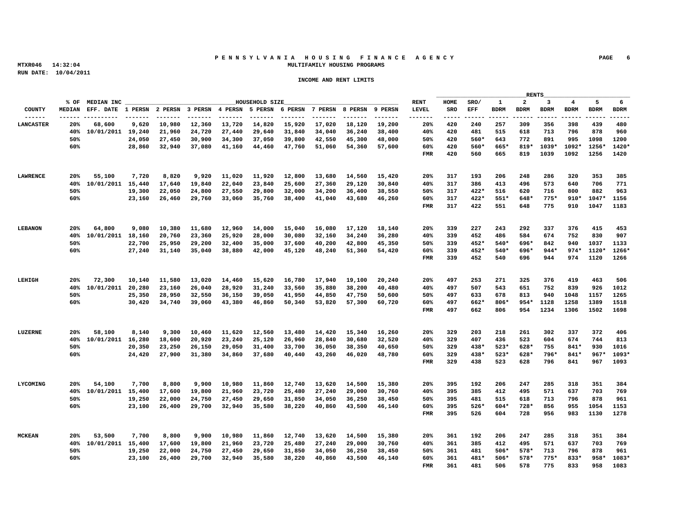# **P E N N S Y L V A N I A H O U S I N G F I N A N C E A G E N C Y PAGE 6 MTXR046 14:32:04 MULTIFAMILY HOUSING PROGRAMS**

|                  |     |                 |  |  |                |  |                                                                                                                                                 |      |                 |  | RENTS |                                                                            |  |
|------------------|-----|-----------------|--|--|----------------|--|-------------------------------------------------------------------------------------------------------------------------------------------------|------|-----------------|--|-------|----------------------------------------------------------------------------|--|
|                  |     | % OF MEDIAN INC |  |  | HOUSEHOLD SIZE |  |                                                                                                                                                 | RENT |                 |  |       | HOME SRO/ 1 2 3 4 5 6                                                      |  |
|                  |     |                 |  |  |                |  |                                                                                                                                                 |      |                 |  |       |                                                                            |  |
| <b>LANCASTER</b> |     | 20% 68.600      |  |  |                |  | 9,620 10,980 12,360 13,720 14,820 15,920 17,020 18,120 19,200                                                                                   |      | 20% 420 240 257 |  |       | 309 356 398 439 480                                                        |  |
|                  |     |                 |  |  |                |  | 40% 10/01/2011 19.240 21.960 24.720 27.440 29.640 31.840 34.040 36.240 38.400                                                                   |      |                 |  |       | 40% 420 481 515 618 713 796 878 960                                        |  |
|                  |     |                 |  |  |                |  | 24,050 27,450 30,900 34,300 37,050 39,800 42,550 45,300 48,000                                                                                  |      |                 |  |       | 50% 420 560* 643 772 891 995 1098 1200                                     |  |
|                  | 60% |                 |  |  |                |  | 28,860 32,940 37,080 41,160 44,460 47,760 51,060 54,360 57,600                                                                                  |      |                 |  |       | 60% 420 560* 665* 819* 1039* 1092* 1256* 1420*                             |  |
|                  |     |                 |  |  |                |  |                                                                                                                                                 |      |                 |  |       | FMR 420 560 665 819 1039 1092 1256 1420                                    |  |
|                  |     |                 |  |  |                |  |                                                                                                                                                 |      |                 |  |       |                                                                            |  |
|                  |     |                 |  |  |                |  |                                                                                                                                                 |      |                 |  |       |                                                                            |  |
|                  |     |                 |  |  |                |  | 20% 55,100 7,720 8,820 9,920 11,020 11,920 12,800 13,680 14,560 15,420                                                                          |      |                 |  |       | 20% 317 193 206 248 286 320 353 385                                        |  |
|                  |     |                 |  |  |                |  | 40% 10/01/2011 15,440 17,640 19,840 22,040 23,840 25,600 27,360 29,120 30,840                                                                   |      |                 |  |       | 40% 317 386 413 496 573 640 706 771                                        |  |
|                  | 50% |                 |  |  |                |  | 19,300 22,050 24,800 27,550 29,800 32,000 34,200 36,400 38,550                                                                                  |      |                 |  |       | 50% 317 422* 516 620 716 800 882 963                                       |  |
|                  | 60% |                 |  |  |                |  | 23,160  26,460  29,760  33,060  35,760  38,400  41,040  43,680  46,260                                                                          |      |                 |  |       | 60% 317 422* 551* 648* 775* 910* 1047* 1156                                |  |
|                  |     |                 |  |  |                |  |                                                                                                                                                 |      |                 |  |       | FMR 317 422 551 648 775 910 1047 1183                                      |  |
|                  |     |                 |  |  |                |  |                                                                                                                                                 |      |                 |  |       |                                                                            |  |
|                  |     |                 |  |  |                |  |                                                                                                                                                 |      |                 |  |       |                                                                            |  |
|                  |     |                 |  |  |                |  | 20% 64,800 9,080 10,380 11,680 12,960 14,000 15,040 16,080 17,120 18,140                                                                        |      |                 |  |       | 20% 339 227 243 292 337 376 415 453                                        |  |
|                  |     |                 |  |  |                |  | 40% 10/01/2011 18,160 20,760 23,360 25,920 28,000 30,080 32,160 34,240 36,280                                                                   |      |                 |  |       | 40% 339 452 486 584 674 752 830 907                                        |  |
|                  | 50% |                 |  |  |                |  | 22,700 25,950 29,200 32,400 35,000 37,600 40,200 42,800 45,350                                                                                  |      |                 |  |       | 50% 339 452* 540* 696* 842 940 1037 1133                                   |  |
|                  | 60% |                 |  |  |                |  | 27,240 31,140 35,040 38,880 42,000 45,120 48,240 51,360 54,420                                                                                  |      |                 |  |       | 60% 339 452* 540* 696* 944* 974* 1120* 1266*                               |  |
|                  |     |                 |  |  |                |  |                                                                                                                                                 |      |                 |  |       | FMR 339 452 540 696 944 974 1120 1266                                      |  |
|                  |     |                 |  |  |                |  |                                                                                                                                                 |      |                 |  |       |                                                                            |  |
|                  |     |                 |  |  |                |  |                                                                                                                                                 |      |                 |  |       |                                                                            |  |
| LEHIGH           |     | 20% 72,300      |  |  |                |  | 10,140 11,580 13,020 14,460 15,620 16,780 17,940 19,100 20,240                                                                                  |      |                 |  |       | 20  497  253  271  325  376  419  463  506                                 |  |
|                  |     |                 |  |  |                |  | 40% 10/01/2011 20,280 23,160 26,040 28,920 31,240 33,560 35,880 38,200 40,480                                                                   |      |                 |  |       | 40% 497 507 543 651 752 839 926 1012                                       |  |
|                  | 50% |                 |  |  |                |  | 25,350 28,950 32,550 36,150 39,050 41,950 44,850 47,750 50,600                                                                                  |      |                 |  |       | 50% 497 633 678 813 940 1048 1157 1265                                     |  |
|                  | 60% |                 |  |  |                |  | 30,420 34,740 39,060 43,380 46,860 50,340 53,820 57.300 60.720                                                                                  |      |                 |  |       | 60% 497 662* 806* 954* 1128 1258 1389 1518                                 |  |
|                  |     |                 |  |  |                |  |                                                                                                                                                 |      |                 |  |       | FMR 497 662 806 954 1234 1306 1502 1698                                    |  |
|                  |     |                 |  |  |                |  |                                                                                                                                                 |      |                 |  |       |                                                                            |  |
|                  |     |                 |  |  |                |  |                                                                                                                                                 |      |                 |  |       |                                                                            |  |
| LUZERNE          |     | 20% 58,100      |  |  |                |  | 8,140 9,300 10,460 11,620 12,560 13,480 14,420 15,340 16,260                                                                                    |      |                 |  |       | 20% 329 203 218 261 302 337 372 406<br>40% 329 407 436 523 604 674 744 813 |  |
|                  | 50% |                 |  |  |                |  | 40% 10/01/2011 16,280 18,600 20,920 23,240 25,120 26,960 28,840 30,680 32,520<br>20,350 23,250 26,150 29,050 31,400 33,700 36,050 38,350 40,650 |      |                 |  |       | 50% 329 438* 523* 628* 755 841* 930 1016                                   |  |
|                  | 60% |                 |  |  |                |  | 24,420 27,900 31,380 34,860 37,680 40,440 43,260 46,020 48,780                                                                                  |      |                 |  |       | 60% 329 438* 523* 628* 796* 841* 967* 1093*                                |  |
|                  |     |                 |  |  |                |  |                                                                                                                                                 |      |                 |  |       | FMR 329 438 523 628 796 841 967 1093                                       |  |
|                  |     |                 |  |  |                |  |                                                                                                                                                 |      |                 |  |       |                                                                            |  |
|                  |     |                 |  |  |                |  |                                                                                                                                                 |      |                 |  |       |                                                                            |  |
| <b>LYCOMTNG</b>  |     | 20% 54,100      |  |  |                |  | 7,700 8,800 9,900 10,980 11,860 12,740 13,620 14,500 15,380                                                                                     |      | 20% 395 192 206 |  |       | 247 285 318 351 384                                                        |  |
|                  |     |                 |  |  |                |  | 40% 10/01/2011 15,400 17,600 19,800 21,960 23,720 25,480 27,240 29,000 30,760                                                                   |      |                 |  |       | 40% 395 385 412 495 571 637 703 769                                        |  |
|                  | 50% |                 |  |  |                |  | 19,250 22,000 24,750 27,450 29,650 31,850 34,050 36,250 38,450                                                                                  |      |                 |  |       | 50% 395 481 515 618 713 796 878 961                                        |  |
|                  | 60% |                 |  |  |                |  | 23,100 26,400 29,700 32,940 35,580 38,220 40,860 43,500 46,140                                                                                  |      |                 |  |       | 60% 395 526* 604* 728* 856 955 1054 1153                                   |  |
|                  |     |                 |  |  |                |  |                                                                                                                                                 |      |                 |  |       | FMR 395 526 604 728 956 983 1130 1278                                      |  |
|                  |     |                 |  |  |                |  |                                                                                                                                                 |      |                 |  |       |                                                                            |  |
|                  |     |                 |  |  |                |  |                                                                                                                                                 |      |                 |  |       |                                                                            |  |
| <b>MCKEAN</b>    |     | 20% 53,500      |  |  |                |  | 7,700 8,800 9,900 10,980 11,860 12,740 13,620 14,500 15,380                                                                                     |      |                 |  |       | 20% 361 192 206 247 285 318 351 384                                        |  |
|                  |     |                 |  |  |                |  | 40% 10/01/2011 15,400 17,600 19,800 21,960 23,720 25,480 27,240 29,000 30,760                                                                   |      |                 |  |       | 40% 361 385 412 495 571 637 703 769                                        |  |
|                  | 50% |                 |  |  |                |  | 19,250 22,000 24,750 27,450 29,650 31,850 34,050 36,250 38,450                                                                                  |      |                 |  |       | 50% 361 481 506* 578* 713 796 878 961                                      |  |
|                  | 60% |                 |  |  |                |  | 23,100 26,400 29,700 32,940 35,580 38,220 40,860 43,500 46,140                                                                                  |      |                 |  |       | 60% 361 481* 506* 578* 775* 833* 958* 1083*                                |  |
|                  |     |                 |  |  |                |  |                                                                                                                                                 |      |                 |  |       | FMR 361 481 506 578 775 833 958 1083                                       |  |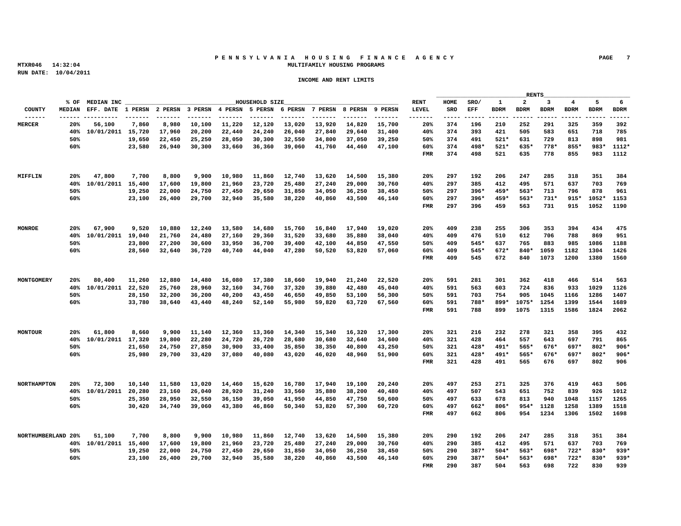# P E N N S Y L V A N I A H O U S I N G F I N A N C E A G E N C Y <sup>PAGE</sup> 7<br>MULTIFAMILY HOUSING PROGRAMS  **MTXR046 14:32:04 MULTIFAMILY HOUSING PROGRAMS**

|                |                                                                                       |                                                                               |  |                |  |  |      |                 |  | RENTS   |                                             |  |
|----------------|---------------------------------------------------------------------------------------|-------------------------------------------------------------------------------|--|----------------|--|--|------|-----------------|--|---------|---------------------------------------------|--|
|                | % OF MEDIAN INC                                                                       |                                                                               |  | HOUSEHOLD SIZE |  |  | RENT |                 |  |         | HOME SRO/ 1 2 3 4 5 6                       |  |
|                |                                                                                       |                                                                               |  |                |  |  |      |                 |  |         |                                             |  |
| <b>MERCER</b>  | 20% 56.100                                                                            | 7,860 8,980 10,100 11,220 12,120 13,020 13,920 14,820 15,700                  |  |                |  |  |      |                 |  |         | 20% 374 196 210 252 291 325 359 392         |  |
|                |                                                                                       | 40% 10/01/2011 15,720 17,960 20,200 22,440 24,240 26,040 27,840 29,640 31,400 |  |                |  |  |      |                 |  |         | 40% 374 393 421 505 583 651 718 785         |  |
|                | 50%                                                                                   | 19,650  22,450  25,250  28,050  30,300  32,550  34,800  37,050  39,250        |  |                |  |  |      |                 |  |         | 50% 374 491 521* 631 729 813 898 981        |  |
|                | 60%                                                                                   | 23,580  26,940  30,300  33,660  36,360  39,060  41,760  44.460  47.100        |  |                |  |  |      |                 |  |         | 60% 374 498* 521* 635* 778* 855* 983* 1112* |  |
|                |                                                                                       |                                                                               |  |                |  |  |      |                 |  |         | FMR 374 498 521 635 778 855 983 1112        |  |
|                |                                                                                       |                                                                               |  |                |  |  |      |                 |  |         |                                             |  |
|                |                                                                                       |                                                                               |  |                |  |  |      |                 |  |         |                                             |  |
| MIFFLIN        |                                                                                       | 20% 47,800 7,700 8,800 9,900 10,980 11,860 12,740 13,620 14,500 15,380        |  |                |  |  |      |                 |  |         | 20% 297 192 206 247 285 318 351 384         |  |
|                |                                                                                       | 40% 10/01/2011 15,400 17,600 19,800 21,960 23,720 25,480 27,240 29,000 30,760 |  |                |  |  |      |                 |  |         | 40% 297 385 412 495 571 637 703 769         |  |
|                | 50%                                                                                   | 19,250 22,000 24,750 27,450 29,650 31,850 34,050 36,250 38,450                |  |                |  |  |      |                 |  |         | 50% 297 396* 459* 563* 713 796 878 961      |  |
|                | 60%                                                                                   | 23,100 26,400 29,700 32,940 35,580 38,220 40,860 43,500 46,140                |  |                |  |  |      |                 |  |         | 60% 297 396* 459* 563* 731* 915* 1052* 1153 |  |
|                |                                                                                       |                                                                               |  |                |  |  |      |                 |  |         | FMR 297 396 459 563 731 915 1052 1190       |  |
|                |                                                                                       |                                                                               |  |                |  |  |      |                 |  |         |                                             |  |
|                |                                                                                       |                                                                               |  |                |  |  |      |                 |  |         |                                             |  |
| MONROE         |                                                                                       | 20% 67,900 9,520 10,880 12,240 13,580 14,680 15,760 16,840 17,940 19,020      |  |                |  |  |      |                 |  |         | 20% 409 238 255 306 353 394 434 475         |  |
|                |                                                                                       | 40% 10/01/2011 19,040 21,760 24,480 27,160 29,360 31,520 33,680 35,880 38,040 |  |                |  |  |      |                 |  |         | 40% 409 476 510 612 706 788 869 951         |  |
|                | 50%                                                                                   | 23,800 27,200 30,600 33,950 36,700 39,400 42,100 44,850 47,550                |  |                |  |  |      |                 |  |         | 50% 409 545* 637 765 883 985 1086 1188      |  |
|                | 60%                                                                                   | 28.560 32.640 36.720 40.740 44.040 47.280 50.520 53.820 57.060                |  |                |  |  |      |                 |  |         | 60% 409 545* 672* 840* 1059 1182 1304 1426  |  |
|                |                                                                                       |                                                                               |  |                |  |  |      |                 |  |         | FMR 409 545 672 840 1073 1200 1380 1560     |  |
|                |                                                                                       |                                                                               |  |                |  |  |      |                 |  |         |                                             |  |
|                |                                                                                       |                                                                               |  |                |  |  |      |                 |  |         |                                             |  |
| MONTGOMERY     |                                                                                       | 20% 80,400 11,260 12,880 14,480 16,080 17,380 18,660 19,940 21,240 22,520     |  |                |  |  |      |                 |  |         | 20% 591 281 301 362 418 466 514 563         |  |
|                |                                                                                       | 40% 10/01/2011 22,520 25,760 28,960 32,160 34,760 37,320 39,880 42,480 45,040 |  |                |  |  |      |                 |  |         | 40% 591 563 603 724 836 933 1029 1126       |  |
|                | 50%                                                                                   | 28,150 32,200 36,200 40,200 43,450 46,650 49,850 53,100 56,300                |  |                |  |  |      |                 |  |         | 50% 591 703 754 905 1045 1166 1286 1407     |  |
|                | 60%                                                                                   | 33,780 38,640 43,440 48,240 52,140 55,980 59,820 63,720 67,560                |  |                |  |  |      |                 |  |         | 60% 591 788* 899* 1075* 1254 1399 1544 1689 |  |
|                |                                                                                       |                                                                               |  |                |  |  |      |                 |  |         | FMR 591 788 899 1075 1315 1586 1824 2062    |  |
|                |                                                                                       |                                                                               |  |                |  |  |      |                 |  |         |                                             |  |
|                |                                                                                       |                                                                               |  |                |  |  |      |                 |  |         |                                             |  |
| <b>MONTOUR</b> | 20% 61,800                                                                            | 8,660 9,900 11,140 12,360 13,360 14,340 15,340 16,320 17,300                  |  |                |  |  |      |                 |  |         | 20% 321 216 232 278 321 358 395 432         |  |
|                |                                                                                       | 40% 10/01/2011 17,320 19,800 22,280 24,720 26,720 28,680 30,680 32,640 34,600 |  |                |  |  |      |                 |  |         | 40% 321 428 464 557 643 697 791 865         |  |
|                | 50%                                                                                   | 21,650 24,750 27,850 30,900 33,400 35,850 38,350 40,800 43,250                |  |                |  |  |      |                 |  |         | 50% 321 428* 491* 565* 676* 697* 802* 906*  |  |
|                | 60%                                                                                   | 25,980  29,700  33,420  37,080  40,080  43,020  46,020  48,960  51,900        |  |                |  |  |      |                 |  |         | 60% 321 428* 491* 565* 676* 697* 802* 906*  |  |
|                |                                                                                       |                                                                               |  |                |  |  |      |                 |  |         | FMR 321 428 491 565 676 697 802 906         |  |
|                |                                                                                       |                                                                               |  |                |  |  |      |                 |  |         |                                             |  |
|                |                                                                                       |                                                                               |  |                |  |  |      |                 |  |         |                                             |  |
|                | NORTHAMPTON 20% 72,300 10,140 11,580 13,020 14,460 15,620 16,780 17,940 19,100 20,240 |                                                                               |  |                |  |  |      |                 |  |         | 20% 497 253 271 325 376 419 463 506         |  |
|                |                                                                                       | 40% 10/01/2011 20,280 23,160 26,040 28,920 31,240 33,560 35,880 38,200 40,480 |  |                |  |  |      |                 |  |         | 40% 497 507 543 651 752 839 926 1012        |  |
|                | 50%                                                                                   | 25,350 28,950 32,550 36,150 39,050 41,950 44,850 47,750 50,600                |  |                |  |  |      |                 |  |         | 50% 497 633 678 813 940 1048 1157 1265      |  |
|                | 60%                                                                                   | 30,420 34,740 39,060 43,380 46,860 50,340 53,820 57,300 60,720                |  |                |  |  |      |                 |  |         | 60% 497 662* 806* 954* 1128 1258 1389 1518  |  |
|                |                                                                                       |                                                                               |  |                |  |  |      |                 |  |         | FMR 497 662 806 954 1234 1306 1502 1698     |  |
|                |                                                                                       |                                                                               |  |                |  |  |      |                 |  |         |                                             |  |
|                |                                                                                       |                                                                               |  |                |  |  |      |                 |  |         |                                             |  |
|                | NORTHUMBERLAND 20% 51,100                                                             | 7,700 8,800 9,900 10,980 11,860 12,740 13,620 14,500 15,380                   |  |                |  |  |      | 20% 290 192 206 |  | 247 285 | 318 351 384                                 |  |
|                |                                                                                       | 40% 10/01/2011 15,400 17,600 19,800 21,960 23,720 25,480 27,240 29,000 30,760 |  |                |  |  |      |                 |  |         | 40% 290 385 412 495 571 637 703 769         |  |
|                | 50%                                                                                   | 19,250 22,000 24,750 27,450 29,650 31,850 34,050 36,250 38,450                |  |                |  |  |      |                 |  |         | 50% 290 387* 504* 563* 698* 722* 830* 939*  |  |
|                | 60%                                                                                   | 23,100 26,400 29,700 32,940 35,580 38,220 40,860 43,500 46,140                |  |                |  |  |      |                 |  |         | 60% 290 387* 504* 563* 698* 722* 830* 939*  |  |
|                |                                                                                       |                                                                               |  |                |  |  |      |                 |  |         | FMR 290 387 504 563 698 722 830 939         |  |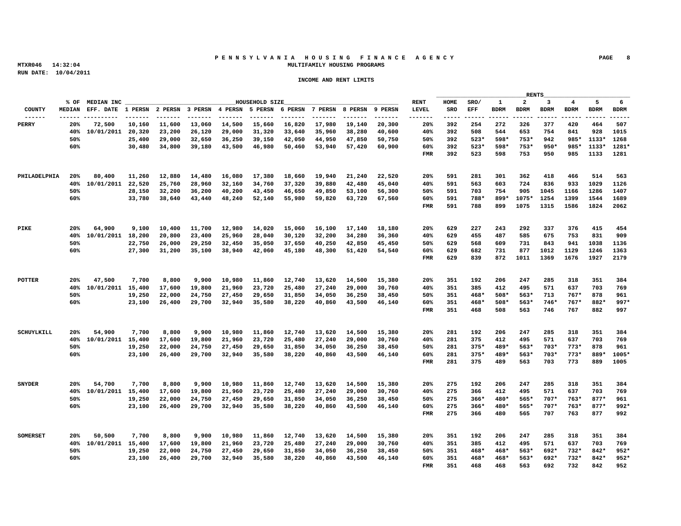# **P E N N S Y L V A N I A H O U S I N G F I N A N C E A G E N C Y PAGE 8 MTXR046 14:32:04 MULTIFAMILY HOUSING PROGRAMS**

|               |                       |                                                                                        |  |                |  |                                                                                                                                  |      |                 |  | RENTS |                                                                                        |
|---------------|-----------------------|----------------------------------------------------------------------------------------|--|----------------|--|----------------------------------------------------------------------------------------------------------------------------------|------|-----------------|--|-------|----------------------------------------------------------------------------------------|
|               | % OF MEDIAN INC       |                                                                                        |  | HOUSEHOLD SIZE |  |                                                                                                                                  | RENT |                 |  |       | HOME SRO/ 1 2 3 4 5 6                                                                  |
|               |                       |                                                                                        |  |                |  |                                                                                                                                  |      |                 |  |       |                                                                                        |
|               |                       |                                                                                        |  |                |  |                                                                                                                                  |      |                 |  |       | 20% 392 254 272 326 377 420 464 507                                                    |
|               |                       | 20% 72,500 10,160 11,600 13,060 14,500 15,660 16,820 17,980 19,140 20,300              |  |                |  |                                                                                                                                  |      |                 |  |       | 40% 392 508 544 653 754 841 928 1015                                                   |
|               |                       | 40% 10/01/2011 20,320 23,200 26,120 29,000 31,320 33,640 35,960 38,280 40,600          |  |                |  |                                                                                                                                  |      |                 |  |       |                                                                                        |
|               |                       |                                                                                        |  |                |  | 25,400 29,000 32,650 36,250 39,150 42,050 44,950 47.850 50.750                                                                   |      |                 |  |       | 50% 392 523* 598* 753* 942 985* 1133* 1268                                             |
|               | 60%                   |                                                                                        |  |                |  | 30,480 34,800 39,180 43,500 46,980 50,460 53,940 57,420 60,900                                                                   |      |                 |  |       | 60% 392 523* 598* 753* 950* 985* 1133* 1281*                                           |
|               |                       |                                                                                        |  |                |  |                                                                                                                                  |      |                 |  |       | FMR 392 523 598 753 950 985 1133 1281                                                  |
|               |                       |                                                                                        |  |                |  |                                                                                                                                  |      |                 |  |       |                                                                                        |
|               |                       | PHILADELPHIA 20% 80,400 11,260 12,880 14,480 16,080 17,380 18,660 19,940 21,240 22,520 |  |                |  |                                                                                                                                  |      |                 |  |       | 20% 591 281 301 362 418 466 514 563                                                    |
|               |                       | 40% 10/01/2011 22,520 25,760 28,960 32,160 34,760 37,320 39,880 42,480 45,040          |  |                |  |                                                                                                                                  |      |                 |  |       | 40% 591 563 603 724 836 933 1029 1126                                                  |
|               |                       |                                                                                        |  |                |  |                                                                                                                                  |      |                 |  |       |                                                                                        |
|               | 50%<br>60%            |                                                                                        |  |                |  | 28,150 32,200 36,200 40,200 43,450 46,650 49,850 53,100 56,300<br>33,780 38,640 43,440 48,240 52,140 55,980 59,820 63,720 67,560 |      |                 |  |       | 50% 591 703 754 905 1045 1166 1286 1407<br>60% 591 788* 899* 1075* 1254 1399 1544 1689 |
|               |                       |                                                                                        |  |                |  |                                                                                                                                  |      |                 |  |       | FMR 591 788 899 1075 1315 1586 1824 2062                                               |
|               |                       |                                                                                        |  |                |  |                                                                                                                                  |      |                 |  |       |                                                                                        |
|               |                       |                                                                                        |  |                |  |                                                                                                                                  |      |                 |  |       |                                                                                        |
| PIKE          |                       | 20% 64,900 9,100 10,400 11,700 12,980 14,020 15,060 16,100 17,140 18,180               |  |                |  |                                                                                                                                  |      |                 |  |       | 20% 629 227 243 292 337 376 415 454                                                    |
|               |                       | 40% 10/01/2011 18,200 20,800 23,400 25,960 28,040 30,120 32,200 34,280 36,360          |  |                |  |                                                                                                                                  |      |                 |  |       | 40% 629 455 487 585 675 753 831 909                                                    |
|               | 50%                   |                                                                                        |  |                |  | 22,750  26,000  29,250  32,450  35,050  37,650  40,250  42,850  45,450                                                           |      |                 |  |       | 50% 629 568 609 731 843 941 1038 1136                                                  |
|               | 60%                   |                                                                                        |  |                |  | 27,300 31,200 35,100 38,940 42,060 45,180 48,300 51,420 54,540                                                                   |      |                 |  |       | 60% 629 682 731 877 1012 1129 1246 1363                                                |
|               |                       |                                                                                        |  |                |  |                                                                                                                                  |      |                 |  |       | FMR 629 839 872 1011 1369 1676 1927 2179                                               |
|               |                       |                                                                                        |  |                |  |                                                                                                                                  |      |                 |  |       |                                                                                        |
|               |                       |                                                                                        |  |                |  |                                                                                                                                  |      |                 |  |       |                                                                                        |
| <b>POTTER</b> | 20% 47,500            |                                                                                        |  |                |  | 7,700 8,800 9,900 10,980 11,860 12,740 13,620 14,500 15,380                                                                      |      |                 |  |       | 20   351   192   206   247   285   318   351   384                                     |
|               |                       | 40% 10/01/2011 15,400 17,600 19,800 21,960 23,720 25,480 27,240 29,000 30,760          |  |                |  |                                                                                                                                  |      |                 |  |       | 40% 351 385 412 495 571 637 703 769                                                    |
|               | 50%                   |                                                                                        |  |                |  | 19,250 22,000 24,750 27,450 29,650 31,850 34,050 36,250 38,450                                                                   |      |                 |  |       | 50% 351 468* 508* 563* 713 767* 878 961                                                |
|               | 60%                   |                                                                                        |  |                |  | 23,100 26,400 29,700 32,940 35,580 38,220 40,860 43,500 46,140                                                                   |      |                 |  |       | 60% 351 468* 508* 563* 746* 767* 882* 997*                                             |
|               |                       |                                                                                        |  |                |  |                                                                                                                                  |      |                 |  |       | FMR 351 468 508 563 746 767 882 997                                                    |
|               |                       |                                                                                        |  |                |  |                                                                                                                                  |      |                 |  |       |                                                                                        |
|               |                       |                                                                                        |  |                |  |                                                                                                                                  |      |                 |  |       |                                                                                        |
|               | SCHUYLKILL 20% 54.900 |                                                                                        |  |                |  | 7,700 8,800 9,900 10,980 11,860 12,740 13,620 14,500 15,380                                                                      |      |                 |  |       | 20% 281 192 206 247 285 318 351 384                                                    |
|               |                       | 40% 10/01/2011 15,400 17,600 19,800 21,960 23,720 25,480 27,240 29,000 30,760          |  |                |  |                                                                                                                                  |      |                 |  |       | 40% 281 375 412 495 571 637 703 769                                                    |
|               | 50%                   |                                                                                        |  |                |  | 19,250 22,000 24,750 27,450 29,650 31,850 34,050 36,250 38,450                                                                   |      |                 |  |       | 50% 281 375* 489* 563* 703* 773* 878 961                                               |
|               | 60%                   |                                                                                        |  |                |  | 23,100 26,400 29,700 32,940 35,580 38,220 40,860 43,500 46,140                                                                   |      |                 |  |       | 60% 281 375* 489* 563* 703* 773* 889* 1005*                                            |
|               |                       |                                                                                        |  |                |  |                                                                                                                                  |      |                 |  |       | FMR 281 375 489 563 703 773 889 1005                                                   |
|               |                       |                                                                                        |  |                |  |                                                                                                                                  |      |                 |  |       |                                                                                        |
|               |                       |                                                                                        |  |                |  |                                                                                                                                  |      |                 |  |       |                                                                                        |
| <b>SNYDER</b> | 20% 54,700            |                                                                                        |  |                |  | 7,700 8,800 9,900 10,980 11,860 12,740 13,620 14,500 15,380                                                                      |      | 20% 275 192 206 |  |       | 247 285 318 351 384                                                                    |
|               |                       | 40% 10/01/2011 15,400 17,600 19,800 21,960 23,720 25,480 27,240 29,000 30,760          |  |                |  |                                                                                                                                  |      |                 |  |       | 40% 275 366 412 495 571 637 703 769                                                    |
|               | 50%                   |                                                                                        |  |                |  | 19,250 22,000 24,750 27,450 29,650 31,850 34,050 36,250 38,450                                                                   |      |                 |  |       | 50% 275 366* 480* 565* 707* 763* 877* 961                                              |
|               | 60%                   |                                                                                        |  |                |  | 23,100 26,400 29,700 32,940 35,580 38,220 40,860 43,500 46,140                                                                   |      |                 |  |       | 60% 275 366* 480* 565* 707* 763* 877* 992*                                             |
|               |                       |                                                                                        |  |                |  |                                                                                                                                  |      |                 |  |       | FMR 275 366 480 565 707 763 877 992                                                    |
|               |                       |                                                                                        |  |                |  |                                                                                                                                  |      |                 |  |       |                                                                                        |
|               |                       |                                                                                        |  |                |  |                                                                                                                                  |      |                 |  |       |                                                                                        |
| SOMERSET      | 20% 50,500            |                                                                                        |  |                |  | 7,700 8,800 9,900 10,980 11,860 12,740 13,620 14,500 15,380                                                                      |      |                 |  |       | 20% 351 192 206 247 285 318 351 384                                                    |
|               |                       | 40% 10/01/2011 15,400 17,600 19,800 21,960 23,720 25,480 27,240 29,000 30,760          |  |                |  |                                                                                                                                  |      |                 |  |       | 40% 351 385 412 495 571 637 703 769                                                    |
|               | 50%                   |                                                                                        |  |                |  | 19,250 22,000 24,750 27,450 29,650 31,850 34,050 36,250 38,450                                                                   |      |                 |  |       | 50% 351 468* 468* 563* 692* 732* 842* 952*                                             |
|               | 60%                   |                                                                                        |  |                |  | 23,100 26,400 29,700 32,940 35,580 38,220 40,860 43,500 46,140                                                                   |      |                 |  |       | 60% 351 468* 468* 563* 692* 732* 842* 952*                                             |
|               |                       |                                                                                        |  |                |  |                                                                                                                                  |      |                 |  |       | FMR 351 468 468 563 692 732 842 952                                                    |
|               |                       |                                                                                        |  |                |  |                                                                                                                                  |      |                 |  |       |                                                                                        |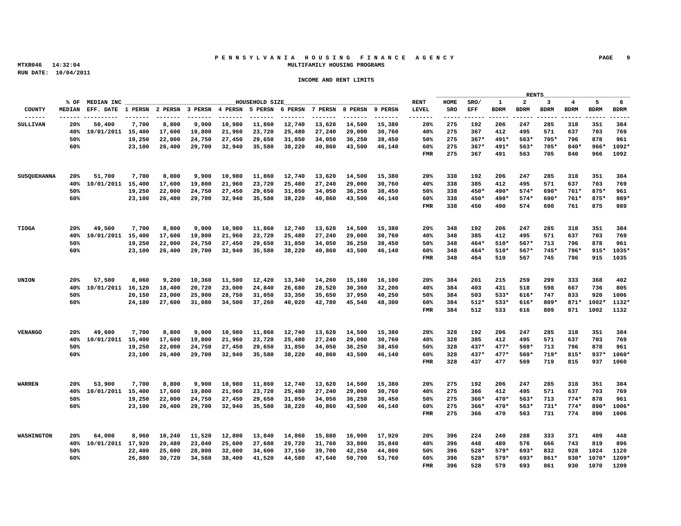# **P E N N S Y L V A N I A H O U S I N G F I N A N C E A G E N C Y PAGE 9 MTXR046 14:32:04 MULTIFAMILY HOUSING PROGRAMS**

| % OF MEDIAN INC<br>HOUSEHOLD SIZE<br>HOME SRO/ 1 2 3 4 5 6<br>RENT<br>-------<br>20% 275 192 206 247 285 318 351 384<br>7,700 8,800 9,900 10,980 11,860 12,740 13,620 14,500 15,380<br>20%<br>50,400<br>SULLIVAN<br>40% 10/01/2011 15.400 17.600 19.800 21.960 23.720 25.480 27.240 29.000 30.760<br>40% 275 367 412 495 571 637 703 769<br>50% 275 367* 491* 563* 705* 796 878 961<br>19,250  22,000  24,750  27,450  29,650  31,850  34,050  36,250  38,450<br>50%<br>60%<br>23,100 26,400 29,700 32,940 35,580 38,220 40,860 43,500 46,140<br>60% 275 367* 491* 563* 705* 840* 966* 1092*<br>FMR 275 367 491 563 705 840 966 1092<br>SUSQUEHANNA 20% 51,700 7,700 8,800 9,900 10,980 11,860 12,740 13,620 14,500 15,380<br>20% 338 192 206 247 285 318 351 384<br>40% 338 385 412 495 571 637 703 769<br>40% 10/01/2011 15,400 17,600 19,800 21,960 23,720 25,480 27,240 29,000 30,760<br>50% 338 450* 490* 574* 690* 761* 875* 961<br>50%<br>19,250 22,000 24,750 27,450 29,650 31,850 34,050 36.250 38.450<br>60%<br>23,100 26,400 29,700 32,940 35,580 38,220 40,860 43,500 46,140<br>60% 338 450* 490* 574* 690* 761* 875* 989*<br>FMR 338 450 490 574 690 761 875 989<br>7,700 8,800 9,900 10,980 11,860 12,740 13,620 14,500 15,380<br>20% 348 192 206 247 285 318 351 384<br>20% 49,500<br>TIOGA<br>40% 348 385 412 495 571 637 703 769<br>40% 10/01/2011 15,400 17,600 19,800 21,960 23,720 25,480 27,240 29,000 30,760<br>50% 348 464* 510* 567* 713 796 878 961<br>50%<br>19,250 22,000 24,750 27,450 29,650 31,850 34,050 36,250 38,450<br>23.100 26.400 29.700 32.940 35.580 38.220 40.860 43.500 46.140<br>60%<br>60% 348 464* 510* 567* 745* 796* 915* 1035*<br>FMR 348 464 510 567 745 796 915 1035<br>20% 57,500 8,060 9,200 10,360 11,500 12,420 13,340 14,260 15,180 16,100<br>20% 384 201 215 259 299 333 368 402<br>UNION<br>40% 10/01/2011 16,120 18,400 20,720 23,000 24,840 26,680 28,520 30,360 32,200<br>40% 384 403 431 518 598 667 736 805<br>20,150 23,000 25,900 28,750 31,050 33,350 35,650 37,950 40,250<br>50% 384 503 533* 616* 747 833 920 1006<br>50%<br>60%<br>24,180 27,600 31,080 34,500 37,260 40,020 42,780 45,540 48,300<br>60% 384 512* 533* 616* 809* 871* 1002* 1132*<br>FMR 384 512 533 616 809 871 1002 1132<br>7,700 8,800 9,900 10,980 11,860 12,740 13,620 14,500 15,380<br>20% 328 192 206 247 285 318 351 384<br>20% 49,600<br><b>VENANGO</b><br>40% 10/01/2011 15,400 17,600 19,800 21,960 23,720 25,480 27,240 29,000 30,760<br>40% 328 385 412 495 571 637 703 769<br>19,250 22,000 24,750 27,450 29,650 31,850 34,050 36,250 38,450<br>50% 328 437* 477* 569* 713 796 878 961<br>50%<br>23,100 26,400 29,700 32,940 35,580 38,220 40,860 43,500 46,140<br>60% 328 437* 477* 569* 719* 815* 937* 1060*<br>60%<br>FMR 328 437 477 569 719 815 937 1060<br>7,700 8,800 9,900 10,980 11,860 12,740 13,620 14,500 15,380<br>20% 275 192 206 247 285 318 351 384<br>WARREN<br>20% 53,900<br>40% 10/01/2011 15,400 17,600 19,800 21,960 23,720 25,480 27,240 29,000 30,760<br>40% 275 366 412 495 571 637 703 769<br>19,250 22,000 24,750 27,450 29,650 31,850 34,050 36,250 38,450<br>50% 275 366* 470* 563* 713 774* 878 961<br>50%<br>60%<br>23,100 26,400 29,700 32,940 35,580 38,220 40,860 43,500 46,140<br>60% 275 366* 470* 563* 731* 774* 890* 1006*<br>FMR 275 366 470 563 731 774 890 1006<br>8,960 10,240 11,520 12,800 13,840 14,860 15,880 16,900 17,920<br>20% 64,000<br>20% 396 224 240<br>288 333 371 409 448<br>WASHTNCTON<br>40% 10/01/2011 17,920 20,480 23,040 25,600 27,680 29,720 31,760 33,800 35,840<br>40% 396 448 480 576 666 743 819 896<br>22,400 25,600 28,800 32,000 34,600 37,150 39,700 42,250 44,800<br>50% 396 528* 579* 693* 832 928 1024 1120<br>50%<br>26,880 30,720 34,560 38,400 41,520 44,580 47,640 50,700 53,760<br>60% 396 528* 579* 693* 861* 930* 1070* 1209*<br>60%<br>FMR 396 528 579 693 861 930 1070 1209 |  |  |  |  |  |  | <u> The Common State Common State Common</u> |  | RENTS |  |  |
|----------------------------------------------------------------------------------------------------------------------------------------------------------------------------------------------------------------------------------------------------------------------------------------------------------------------------------------------------------------------------------------------------------------------------------------------------------------------------------------------------------------------------------------------------------------------------------------------------------------------------------------------------------------------------------------------------------------------------------------------------------------------------------------------------------------------------------------------------------------------------------------------------------------------------------------------------------------------------------------------------------------------------------------------------------------------------------------------------------------------------------------------------------------------------------------------------------------------------------------------------------------------------------------------------------------------------------------------------------------------------------------------------------------------------------------------------------------------------------------------------------------------------------------------------------------------------------------------------------------------------------------------------------------------------------------------------------------------------------------------------------------------------------------------------------------------------------------------------------------------------------------------------------------------------------------------------------------------------------------------------------------------------------------------------------------------------------------------------------------------------------------------------------------------------------------------------------------------------------------------------------------------------------------------------------------------------------------------------------------------------------------------------------------------------------------------------------------------------------------------------------------------------------------------------------------------------------------------------------------------------------------------------------------------------------------------------------------------------------------------------------------------------------------------------------------------------------------------------------------------------------------------------------------------------------------------------------------------------------------------------------------------------------------------------------------------------------------------------------------------------------------------------------------------------------------------------------------------------------------------------------------------------------------------------------------------------------------------------------------------------------------------------------------------------------------------------------------------------------------------------------------------------------------------------------------------------------------------------------------------------------------------------------------------------------------------------------------------------------------------------------------------------------------------------------------------------------------------------------------------------------------------------------------|--|--|--|--|--|--|----------------------------------------------|--|-------|--|--|
|                                                                                                                                                                                                                                                                                                                                                                                                                                                                                                                                                                                                                                                                                                                                                                                                                                                                                                                                                                                                                                                                                                                                                                                                                                                                                                                                                                                                                                                                                                                                                                                                                                                                                                                                                                                                                                                                                                                                                                                                                                                                                                                                                                                                                                                                                                                                                                                                                                                                                                                                                                                                                                                                                                                                                                                                                                                                                                                                                                                                                                                                                                                                                                                                                                                                                                                                                                                                                                                                                                                                                                                                                                                                                                                                                                                                                                                                                                                |  |  |  |  |  |  |                                              |  |       |  |  |
|                                                                                                                                                                                                                                                                                                                                                                                                                                                                                                                                                                                                                                                                                                                                                                                                                                                                                                                                                                                                                                                                                                                                                                                                                                                                                                                                                                                                                                                                                                                                                                                                                                                                                                                                                                                                                                                                                                                                                                                                                                                                                                                                                                                                                                                                                                                                                                                                                                                                                                                                                                                                                                                                                                                                                                                                                                                                                                                                                                                                                                                                                                                                                                                                                                                                                                                                                                                                                                                                                                                                                                                                                                                                                                                                                                                                                                                                                                                |  |  |  |  |  |  |                                              |  |       |  |  |
|                                                                                                                                                                                                                                                                                                                                                                                                                                                                                                                                                                                                                                                                                                                                                                                                                                                                                                                                                                                                                                                                                                                                                                                                                                                                                                                                                                                                                                                                                                                                                                                                                                                                                                                                                                                                                                                                                                                                                                                                                                                                                                                                                                                                                                                                                                                                                                                                                                                                                                                                                                                                                                                                                                                                                                                                                                                                                                                                                                                                                                                                                                                                                                                                                                                                                                                                                                                                                                                                                                                                                                                                                                                                                                                                                                                                                                                                                                                |  |  |  |  |  |  |                                              |  |       |  |  |
|                                                                                                                                                                                                                                                                                                                                                                                                                                                                                                                                                                                                                                                                                                                                                                                                                                                                                                                                                                                                                                                                                                                                                                                                                                                                                                                                                                                                                                                                                                                                                                                                                                                                                                                                                                                                                                                                                                                                                                                                                                                                                                                                                                                                                                                                                                                                                                                                                                                                                                                                                                                                                                                                                                                                                                                                                                                                                                                                                                                                                                                                                                                                                                                                                                                                                                                                                                                                                                                                                                                                                                                                                                                                                                                                                                                                                                                                                                                |  |  |  |  |  |  |                                              |  |       |  |  |
|                                                                                                                                                                                                                                                                                                                                                                                                                                                                                                                                                                                                                                                                                                                                                                                                                                                                                                                                                                                                                                                                                                                                                                                                                                                                                                                                                                                                                                                                                                                                                                                                                                                                                                                                                                                                                                                                                                                                                                                                                                                                                                                                                                                                                                                                                                                                                                                                                                                                                                                                                                                                                                                                                                                                                                                                                                                                                                                                                                                                                                                                                                                                                                                                                                                                                                                                                                                                                                                                                                                                                                                                                                                                                                                                                                                                                                                                                                                |  |  |  |  |  |  |                                              |  |       |  |  |
|                                                                                                                                                                                                                                                                                                                                                                                                                                                                                                                                                                                                                                                                                                                                                                                                                                                                                                                                                                                                                                                                                                                                                                                                                                                                                                                                                                                                                                                                                                                                                                                                                                                                                                                                                                                                                                                                                                                                                                                                                                                                                                                                                                                                                                                                                                                                                                                                                                                                                                                                                                                                                                                                                                                                                                                                                                                                                                                                                                                                                                                                                                                                                                                                                                                                                                                                                                                                                                                                                                                                                                                                                                                                                                                                                                                                                                                                                                                |  |  |  |  |  |  |                                              |  |       |  |  |
|                                                                                                                                                                                                                                                                                                                                                                                                                                                                                                                                                                                                                                                                                                                                                                                                                                                                                                                                                                                                                                                                                                                                                                                                                                                                                                                                                                                                                                                                                                                                                                                                                                                                                                                                                                                                                                                                                                                                                                                                                                                                                                                                                                                                                                                                                                                                                                                                                                                                                                                                                                                                                                                                                                                                                                                                                                                                                                                                                                                                                                                                                                                                                                                                                                                                                                                                                                                                                                                                                                                                                                                                                                                                                                                                                                                                                                                                                                                |  |  |  |  |  |  |                                              |  |       |  |  |
|                                                                                                                                                                                                                                                                                                                                                                                                                                                                                                                                                                                                                                                                                                                                                                                                                                                                                                                                                                                                                                                                                                                                                                                                                                                                                                                                                                                                                                                                                                                                                                                                                                                                                                                                                                                                                                                                                                                                                                                                                                                                                                                                                                                                                                                                                                                                                                                                                                                                                                                                                                                                                                                                                                                                                                                                                                                                                                                                                                                                                                                                                                                                                                                                                                                                                                                                                                                                                                                                                                                                                                                                                                                                                                                                                                                                                                                                                                                |  |  |  |  |  |  |                                              |  |       |  |  |
|                                                                                                                                                                                                                                                                                                                                                                                                                                                                                                                                                                                                                                                                                                                                                                                                                                                                                                                                                                                                                                                                                                                                                                                                                                                                                                                                                                                                                                                                                                                                                                                                                                                                                                                                                                                                                                                                                                                                                                                                                                                                                                                                                                                                                                                                                                                                                                                                                                                                                                                                                                                                                                                                                                                                                                                                                                                                                                                                                                                                                                                                                                                                                                                                                                                                                                                                                                                                                                                                                                                                                                                                                                                                                                                                                                                                                                                                                                                |  |  |  |  |  |  |                                              |  |       |  |  |
|                                                                                                                                                                                                                                                                                                                                                                                                                                                                                                                                                                                                                                                                                                                                                                                                                                                                                                                                                                                                                                                                                                                                                                                                                                                                                                                                                                                                                                                                                                                                                                                                                                                                                                                                                                                                                                                                                                                                                                                                                                                                                                                                                                                                                                                                                                                                                                                                                                                                                                                                                                                                                                                                                                                                                                                                                                                                                                                                                                                                                                                                                                                                                                                                                                                                                                                                                                                                                                                                                                                                                                                                                                                                                                                                                                                                                                                                                                                |  |  |  |  |  |  |                                              |  |       |  |  |
|                                                                                                                                                                                                                                                                                                                                                                                                                                                                                                                                                                                                                                                                                                                                                                                                                                                                                                                                                                                                                                                                                                                                                                                                                                                                                                                                                                                                                                                                                                                                                                                                                                                                                                                                                                                                                                                                                                                                                                                                                                                                                                                                                                                                                                                                                                                                                                                                                                                                                                                                                                                                                                                                                                                                                                                                                                                                                                                                                                                                                                                                                                                                                                                                                                                                                                                                                                                                                                                                                                                                                                                                                                                                                                                                                                                                                                                                                                                |  |  |  |  |  |  |                                              |  |       |  |  |
|                                                                                                                                                                                                                                                                                                                                                                                                                                                                                                                                                                                                                                                                                                                                                                                                                                                                                                                                                                                                                                                                                                                                                                                                                                                                                                                                                                                                                                                                                                                                                                                                                                                                                                                                                                                                                                                                                                                                                                                                                                                                                                                                                                                                                                                                                                                                                                                                                                                                                                                                                                                                                                                                                                                                                                                                                                                                                                                                                                                                                                                                                                                                                                                                                                                                                                                                                                                                                                                                                                                                                                                                                                                                                                                                                                                                                                                                                                                |  |  |  |  |  |  |                                              |  |       |  |  |
|                                                                                                                                                                                                                                                                                                                                                                                                                                                                                                                                                                                                                                                                                                                                                                                                                                                                                                                                                                                                                                                                                                                                                                                                                                                                                                                                                                                                                                                                                                                                                                                                                                                                                                                                                                                                                                                                                                                                                                                                                                                                                                                                                                                                                                                                                                                                                                                                                                                                                                                                                                                                                                                                                                                                                                                                                                                                                                                                                                                                                                                                                                                                                                                                                                                                                                                                                                                                                                                                                                                                                                                                                                                                                                                                                                                                                                                                                                                |  |  |  |  |  |  |                                              |  |       |  |  |
|                                                                                                                                                                                                                                                                                                                                                                                                                                                                                                                                                                                                                                                                                                                                                                                                                                                                                                                                                                                                                                                                                                                                                                                                                                                                                                                                                                                                                                                                                                                                                                                                                                                                                                                                                                                                                                                                                                                                                                                                                                                                                                                                                                                                                                                                                                                                                                                                                                                                                                                                                                                                                                                                                                                                                                                                                                                                                                                                                                                                                                                                                                                                                                                                                                                                                                                                                                                                                                                                                                                                                                                                                                                                                                                                                                                                                                                                                                                |  |  |  |  |  |  |                                              |  |       |  |  |
|                                                                                                                                                                                                                                                                                                                                                                                                                                                                                                                                                                                                                                                                                                                                                                                                                                                                                                                                                                                                                                                                                                                                                                                                                                                                                                                                                                                                                                                                                                                                                                                                                                                                                                                                                                                                                                                                                                                                                                                                                                                                                                                                                                                                                                                                                                                                                                                                                                                                                                                                                                                                                                                                                                                                                                                                                                                                                                                                                                                                                                                                                                                                                                                                                                                                                                                                                                                                                                                                                                                                                                                                                                                                                                                                                                                                                                                                                                                |  |  |  |  |  |  |                                              |  |       |  |  |
|                                                                                                                                                                                                                                                                                                                                                                                                                                                                                                                                                                                                                                                                                                                                                                                                                                                                                                                                                                                                                                                                                                                                                                                                                                                                                                                                                                                                                                                                                                                                                                                                                                                                                                                                                                                                                                                                                                                                                                                                                                                                                                                                                                                                                                                                                                                                                                                                                                                                                                                                                                                                                                                                                                                                                                                                                                                                                                                                                                                                                                                                                                                                                                                                                                                                                                                                                                                                                                                                                                                                                                                                                                                                                                                                                                                                                                                                                                                |  |  |  |  |  |  |                                              |  |       |  |  |
|                                                                                                                                                                                                                                                                                                                                                                                                                                                                                                                                                                                                                                                                                                                                                                                                                                                                                                                                                                                                                                                                                                                                                                                                                                                                                                                                                                                                                                                                                                                                                                                                                                                                                                                                                                                                                                                                                                                                                                                                                                                                                                                                                                                                                                                                                                                                                                                                                                                                                                                                                                                                                                                                                                                                                                                                                                                                                                                                                                                                                                                                                                                                                                                                                                                                                                                                                                                                                                                                                                                                                                                                                                                                                                                                                                                                                                                                                                                |  |  |  |  |  |  |                                              |  |       |  |  |
|                                                                                                                                                                                                                                                                                                                                                                                                                                                                                                                                                                                                                                                                                                                                                                                                                                                                                                                                                                                                                                                                                                                                                                                                                                                                                                                                                                                                                                                                                                                                                                                                                                                                                                                                                                                                                                                                                                                                                                                                                                                                                                                                                                                                                                                                                                                                                                                                                                                                                                                                                                                                                                                                                                                                                                                                                                                                                                                                                                                                                                                                                                                                                                                                                                                                                                                                                                                                                                                                                                                                                                                                                                                                                                                                                                                                                                                                                                                |  |  |  |  |  |  |                                              |  |       |  |  |
|                                                                                                                                                                                                                                                                                                                                                                                                                                                                                                                                                                                                                                                                                                                                                                                                                                                                                                                                                                                                                                                                                                                                                                                                                                                                                                                                                                                                                                                                                                                                                                                                                                                                                                                                                                                                                                                                                                                                                                                                                                                                                                                                                                                                                                                                                                                                                                                                                                                                                                                                                                                                                                                                                                                                                                                                                                                                                                                                                                                                                                                                                                                                                                                                                                                                                                                                                                                                                                                                                                                                                                                                                                                                                                                                                                                                                                                                                                                |  |  |  |  |  |  |                                              |  |       |  |  |
|                                                                                                                                                                                                                                                                                                                                                                                                                                                                                                                                                                                                                                                                                                                                                                                                                                                                                                                                                                                                                                                                                                                                                                                                                                                                                                                                                                                                                                                                                                                                                                                                                                                                                                                                                                                                                                                                                                                                                                                                                                                                                                                                                                                                                                                                                                                                                                                                                                                                                                                                                                                                                                                                                                                                                                                                                                                                                                                                                                                                                                                                                                                                                                                                                                                                                                                                                                                                                                                                                                                                                                                                                                                                                                                                                                                                                                                                                                                |  |  |  |  |  |  |                                              |  |       |  |  |
|                                                                                                                                                                                                                                                                                                                                                                                                                                                                                                                                                                                                                                                                                                                                                                                                                                                                                                                                                                                                                                                                                                                                                                                                                                                                                                                                                                                                                                                                                                                                                                                                                                                                                                                                                                                                                                                                                                                                                                                                                                                                                                                                                                                                                                                                                                                                                                                                                                                                                                                                                                                                                                                                                                                                                                                                                                                                                                                                                                                                                                                                                                                                                                                                                                                                                                                                                                                                                                                                                                                                                                                                                                                                                                                                                                                                                                                                                                                |  |  |  |  |  |  |                                              |  |       |  |  |
|                                                                                                                                                                                                                                                                                                                                                                                                                                                                                                                                                                                                                                                                                                                                                                                                                                                                                                                                                                                                                                                                                                                                                                                                                                                                                                                                                                                                                                                                                                                                                                                                                                                                                                                                                                                                                                                                                                                                                                                                                                                                                                                                                                                                                                                                                                                                                                                                                                                                                                                                                                                                                                                                                                                                                                                                                                                                                                                                                                                                                                                                                                                                                                                                                                                                                                                                                                                                                                                                                                                                                                                                                                                                                                                                                                                                                                                                                                                |  |  |  |  |  |  |                                              |  |       |  |  |
|                                                                                                                                                                                                                                                                                                                                                                                                                                                                                                                                                                                                                                                                                                                                                                                                                                                                                                                                                                                                                                                                                                                                                                                                                                                                                                                                                                                                                                                                                                                                                                                                                                                                                                                                                                                                                                                                                                                                                                                                                                                                                                                                                                                                                                                                                                                                                                                                                                                                                                                                                                                                                                                                                                                                                                                                                                                                                                                                                                                                                                                                                                                                                                                                                                                                                                                                                                                                                                                                                                                                                                                                                                                                                                                                                                                                                                                                                                                |  |  |  |  |  |  |                                              |  |       |  |  |
|                                                                                                                                                                                                                                                                                                                                                                                                                                                                                                                                                                                                                                                                                                                                                                                                                                                                                                                                                                                                                                                                                                                                                                                                                                                                                                                                                                                                                                                                                                                                                                                                                                                                                                                                                                                                                                                                                                                                                                                                                                                                                                                                                                                                                                                                                                                                                                                                                                                                                                                                                                                                                                                                                                                                                                                                                                                                                                                                                                                                                                                                                                                                                                                                                                                                                                                                                                                                                                                                                                                                                                                                                                                                                                                                                                                                                                                                                                                |  |  |  |  |  |  |                                              |  |       |  |  |
|                                                                                                                                                                                                                                                                                                                                                                                                                                                                                                                                                                                                                                                                                                                                                                                                                                                                                                                                                                                                                                                                                                                                                                                                                                                                                                                                                                                                                                                                                                                                                                                                                                                                                                                                                                                                                                                                                                                                                                                                                                                                                                                                                                                                                                                                                                                                                                                                                                                                                                                                                                                                                                                                                                                                                                                                                                                                                                                                                                                                                                                                                                                                                                                                                                                                                                                                                                                                                                                                                                                                                                                                                                                                                                                                                                                                                                                                                                                |  |  |  |  |  |  |                                              |  |       |  |  |
|                                                                                                                                                                                                                                                                                                                                                                                                                                                                                                                                                                                                                                                                                                                                                                                                                                                                                                                                                                                                                                                                                                                                                                                                                                                                                                                                                                                                                                                                                                                                                                                                                                                                                                                                                                                                                                                                                                                                                                                                                                                                                                                                                                                                                                                                                                                                                                                                                                                                                                                                                                                                                                                                                                                                                                                                                                                                                                                                                                                                                                                                                                                                                                                                                                                                                                                                                                                                                                                                                                                                                                                                                                                                                                                                                                                                                                                                                                                |  |  |  |  |  |  |                                              |  |       |  |  |
|                                                                                                                                                                                                                                                                                                                                                                                                                                                                                                                                                                                                                                                                                                                                                                                                                                                                                                                                                                                                                                                                                                                                                                                                                                                                                                                                                                                                                                                                                                                                                                                                                                                                                                                                                                                                                                                                                                                                                                                                                                                                                                                                                                                                                                                                                                                                                                                                                                                                                                                                                                                                                                                                                                                                                                                                                                                                                                                                                                                                                                                                                                                                                                                                                                                                                                                                                                                                                                                                                                                                                                                                                                                                                                                                                                                                                                                                                                                |  |  |  |  |  |  |                                              |  |       |  |  |
|                                                                                                                                                                                                                                                                                                                                                                                                                                                                                                                                                                                                                                                                                                                                                                                                                                                                                                                                                                                                                                                                                                                                                                                                                                                                                                                                                                                                                                                                                                                                                                                                                                                                                                                                                                                                                                                                                                                                                                                                                                                                                                                                                                                                                                                                                                                                                                                                                                                                                                                                                                                                                                                                                                                                                                                                                                                                                                                                                                                                                                                                                                                                                                                                                                                                                                                                                                                                                                                                                                                                                                                                                                                                                                                                                                                                                                                                                                                |  |  |  |  |  |  |                                              |  |       |  |  |
|                                                                                                                                                                                                                                                                                                                                                                                                                                                                                                                                                                                                                                                                                                                                                                                                                                                                                                                                                                                                                                                                                                                                                                                                                                                                                                                                                                                                                                                                                                                                                                                                                                                                                                                                                                                                                                                                                                                                                                                                                                                                                                                                                                                                                                                                                                                                                                                                                                                                                                                                                                                                                                                                                                                                                                                                                                                                                                                                                                                                                                                                                                                                                                                                                                                                                                                                                                                                                                                                                                                                                                                                                                                                                                                                                                                                                                                                                                                |  |  |  |  |  |  |                                              |  |       |  |  |
|                                                                                                                                                                                                                                                                                                                                                                                                                                                                                                                                                                                                                                                                                                                                                                                                                                                                                                                                                                                                                                                                                                                                                                                                                                                                                                                                                                                                                                                                                                                                                                                                                                                                                                                                                                                                                                                                                                                                                                                                                                                                                                                                                                                                                                                                                                                                                                                                                                                                                                                                                                                                                                                                                                                                                                                                                                                                                                                                                                                                                                                                                                                                                                                                                                                                                                                                                                                                                                                                                                                                                                                                                                                                                                                                                                                                                                                                                                                |  |  |  |  |  |  |                                              |  |       |  |  |
|                                                                                                                                                                                                                                                                                                                                                                                                                                                                                                                                                                                                                                                                                                                                                                                                                                                                                                                                                                                                                                                                                                                                                                                                                                                                                                                                                                                                                                                                                                                                                                                                                                                                                                                                                                                                                                                                                                                                                                                                                                                                                                                                                                                                                                                                                                                                                                                                                                                                                                                                                                                                                                                                                                                                                                                                                                                                                                                                                                                                                                                                                                                                                                                                                                                                                                                                                                                                                                                                                                                                                                                                                                                                                                                                                                                                                                                                                                                |  |  |  |  |  |  |                                              |  |       |  |  |
|                                                                                                                                                                                                                                                                                                                                                                                                                                                                                                                                                                                                                                                                                                                                                                                                                                                                                                                                                                                                                                                                                                                                                                                                                                                                                                                                                                                                                                                                                                                                                                                                                                                                                                                                                                                                                                                                                                                                                                                                                                                                                                                                                                                                                                                                                                                                                                                                                                                                                                                                                                                                                                                                                                                                                                                                                                                                                                                                                                                                                                                                                                                                                                                                                                                                                                                                                                                                                                                                                                                                                                                                                                                                                                                                                                                                                                                                                                                |  |  |  |  |  |  |                                              |  |       |  |  |
|                                                                                                                                                                                                                                                                                                                                                                                                                                                                                                                                                                                                                                                                                                                                                                                                                                                                                                                                                                                                                                                                                                                                                                                                                                                                                                                                                                                                                                                                                                                                                                                                                                                                                                                                                                                                                                                                                                                                                                                                                                                                                                                                                                                                                                                                                                                                                                                                                                                                                                                                                                                                                                                                                                                                                                                                                                                                                                                                                                                                                                                                                                                                                                                                                                                                                                                                                                                                                                                                                                                                                                                                                                                                                                                                                                                                                                                                                                                |  |  |  |  |  |  |                                              |  |       |  |  |
|                                                                                                                                                                                                                                                                                                                                                                                                                                                                                                                                                                                                                                                                                                                                                                                                                                                                                                                                                                                                                                                                                                                                                                                                                                                                                                                                                                                                                                                                                                                                                                                                                                                                                                                                                                                                                                                                                                                                                                                                                                                                                                                                                                                                                                                                                                                                                                                                                                                                                                                                                                                                                                                                                                                                                                                                                                                                                                                                                                                                                                                                                                                                                                                                                                                                                                                                                                                                                                                                                                                                                                                                                                                                                                                                                                                                                                                                                                                |  |  |  |  |  |  |                                              |  |       |  |  |
|                                                                                                                                                                                                                                                                                                                                                                                                                                                                                                                                                                                                                                                                                                                                                                                                                                                                                                                                                                                                                                                                                                                                                                                                                                                                                                                                                                                                                                                                                                                                                                                                                                                                                                                                                                                                                                                                                                                                                                                                                                                                                                                                                                                                                                                                                                                                                                                                                                                                                                                                                                                                                                                                                                                                                                                                                                                                                                                                                                                                                                                                                                                                                                                                                                                                                                                                                                                                                                                                                                                                                                                                                                                                                                                                                                                                                                                                                                                |  |  |  |  |  |  |                                              |  |       |  |  |
|                                                                                                                                                                                                                                                                                                                                                                                                                                                                                                                                                                                                                                                                                                                                                                                                                                                                                                                                                                                                                                                                                                                                                                                                                                                                                                                                                                                                                                                                                                                                                                                                                                                                                                                                                                                                                                                                                                                                                                                                                                                                                                                                                                                                                                                                                                                                                                                                                                                                                                                                                                                                                                                                                                                                                                                                                                                                                                                                                                                                                                                                                                                                                                                                                                                                                                                                                                                                                                                                                                                                                                                                                                                                                                                                                                                                                                                                                                                |  |  |  |  |  |  |                                              |  |       |  |  |
|                                                                                                                                                                                                                                                                                                                                                                                                                                                                                                                                                                                                                                                                                                                                                                                                                                                                                                                                                                                                                                                                                                                                                                                                                                                                                                                                                                                                                                                                                                                                                                                                                                                                                                                                                                                                                                                                                                                                                                                                                                                                                                                                                                                                                                                                                                                                                                                                                                                                                                                                                                                                                                                                                                                                                                                                                                                                                                                                                                                                                                                                                                                                                                                                                                                                                                                                                                                                                                                                                                                                                                                                                                                                                                                                                                                                                                                                                                                |  |  |  |  |  |  |                                              |  |       |  |  |
|                                                                                                                                                                                                                                                                                                                                                                                                                                                                                                                                                                                                                                                                                                                                                                                                                                                                                                                                                                                                                                                                                                                                                                                                                                                                                                                                                                                                                                                                                                                                                                                                                                                                                                                                                                                                                                                                                                                                                                                                                                                                                                                                                                                                                                                                                                                                                                                                                                                                                                                                                                                                                                                                                                                                                                                                                                                                                                                                                                                                                                                                                                                                                                                                                                                                                                                                                                                                                                                                                                                                                                                                                                                                                                                                                                                                                                                                                                                |  |  |  |  |  |  |                                              |  |       |  |  |
|                                                                                                                                                                                                                                                                                                                                                                                                                                                                                                                                                                                                                                                                                                                                                                                                                                                                                                                                                                                                                                                                                                                                                                                                                                                                                                                                                                                                                                                                                                                                                                                                                                                                                                                                                                                                                                                                                                                                                                                                                                                                                                                                                                                                                                                                                                                                                                                                                                                                                                                                                                                                                                                                                                                                                                                                                                                                                                                                                                                                                                                                                                                                                                                                                                                                                                                                                                                                                                                                                                                                                                                                                                                                                                                                                                                                                                                                                                                |  |  |  |  |  |  |                                              |  |       |  |  |
|                                                                                                                                                                                                                                                                                                                                                                                                                                                                                                                                                                                                                                                                                                                                                                                                                                                                                                                                                                                                                                                                                                                                                                                                                                                                                                                                                                                                                                                                                                                                                                                                                                                                                                                                                                                                                                                                                                                                                                                                                                                                                                                                                                                                                                                                                                                                                                                                                                                                                                                                                                                                                                                                                                                                                                                                                                                                                                                                                                                                                                                                                                                                                                                                                                                                                                                                                                                                                                                                                                                                                                                                                                                                                                                                                                                                                                                                                                                |  |  |  |  |  |  |                                              |  |       |  |  |
|                                                                                                                                                                                                                                                                                                                                                                                                                                                                                                                                                                                                                                                                                                                                                                                                                                                                                                                                                                                                                                                                                                                                                                                                                                                                                                                                                                                                                                                                                                                                                                                                                                                                                                                                                                                                                                                                                                                                                                                                                                                                                                                                                                                                                                                                                                                                                                                                                                                                                                                                                                                                                                                                                                                                                                                                                                                                                                                                                                                                                                                                                                                                                                                                                                                                                                                                                                                                                                                                                                                                                                                                                                                                                                                                                                                                                                                                                                                |  |  |  |  |  |  |                                              |  |       |  |  |
|                                                                                                                                                                                                                                                                                                                                                                                                                                                                                                                                                                                                                                                                                                                                                                                                                                                                                                                                                                                                                                                                                                                                                                                                                                                                                                                                                                                                                                                                                                                                                                                                                                                                                                                                                                                                                                                                                                                                                                                                                                                                                                                                                                                                                                                                                                                                                                                                                                                                                                                                                                                                                                                                                                                                                                                                                                                                                                                                                                                                                                                                                                                                                                                                                                                                                                                                                                                                                                                                                                                                                                                                                                                                                                                                                                                                                                                                                                                |  |  |  |  |  |  |                                              |  |       |  |  |
|                                                                                                                                                                                                                                                                                                                                                                                                                                                                                                                                                                                                                                                                                                                                                                                                                                                                                                                                                                                                                                                                                                                                                                                                                                                                                                                                                                                                                                                                                                                                                                                                                                                                                                                                                                                                                                                                                                                                                                                                                                                                                                                                                                                                                                                                                                                                                                                                                                                                                                                                                                                                                                                                                                                                                                                                                                                                                                                                                                                                                                                                                                                                                                                                                                                                                                                                                                                                                                                                                                                                                                                                                                                                                                                                                                                                                                                                                                                |  |  |  |  |  |  |                                              |  |       |  |  |
|                                                                                                                                                                                                                                                                                                                                                                                                                                                                                                                                                                                                                                                                                                                                                                                                                                                                                                                                                                                                                                                                                                                                                                                                                                                                                                                                                                                                                                                                                                                                                                                                                                                                                                                                                                                                                                                                                                                                                                                                                                                                                                                                                                                                                                                                                                                                                                                                                                                                                                                                                                                                                                                                                                                                                                                                                                                                                                                                                                                                                                                                                                                                                                                                                                                                                                                                                                                                                                                                                                                                                                                                                                                                                                                                                                                                                                                                                                                |  |  |  |  |  |  |                                              |  |       |  |  |
|                                                                                                                                                                                                                                                                                                                                                                                                                                                                                                                                                                                                                                                                                                                                                                                                                                                                                                                                                                                                                                                                                                                                                                                                                                                                                                                                                                                                                                                                                                                                                                                                                                                                                                                                                                                                                                                                                                                                                                                                                                                                                                                                                                                                                                                                                                                                                                                                                                                                                                                                                                                                                                                                                                                                                                                                                                                                                                                                                                                                                                                                                                                                                                                                                                                                                                                                                                                                                                                                                                                                                                                                                                                                                                                                                                                                                                                                                                                |  |  |  |  |  |  |                                              |  |       |  |  |
|                                                                                                                                                                                                                                                                                                                                                                                                                                                                                                                                                                                                                                                                                                                                                                                                                                                                                                                                                                                                                                                                                                                                                                                                                                                                                                                                                                                                                                                                                                                                                                                                                                                                                                                                                                                                                                                                                                                                                                                                                                                                                                                                                                                                                                                                                                                                                                                                                                                                                                                                                                                                                                                                                                                                                                                                                                                                                                                                                                                                                                                                                                                                                                                                                                                                                                                                                                                                                                                                                                                                                                                                                                                                                                                                                                                                                                                                                                                |  |  |  |  |  |  |                                              |  |       |  |  |
|                                                                                                                                                                                                                                                                                                                                                                                                                                                                                                                                                                                                                                                                                                                                                                                                                                                                                                                                                                                                                                                                                                                                                                                                                                                                                                                                                                                                                                                                                                                                                                                                                                                                                                                                                                                                                                                                                                                                                                                                                                                                                                                                                                                                                                                                                                                                                                                                                                                                                                                                                                                                                                                                                                                                                                                                                                                                                                                                                                                                                                                                                                                                                                                                                                                                                                                                                                                                                                                                                                                                                                                                                                                                                                                                                                                                                                                                                                                |  |  |  |  |  |  |                                              |  |       |  |  |
|                                                                                                                                                                                                                                                                                                                                                                                                                                                                                                                                                                                                                                                                                                                                                                                                                                                                                                                                                                                                                                                                                                                                                                                                                                                                                                                                                                                                                                                                                                                                                                                                                                                                                                                                                                                                                                                                                                                                                                                                                                                                                                                                                                                                                                                                                                                                                                                                                                                                                                                                                                                                                                                                                                                                                                                                                                                                                                                                                                                                                                                                                                                                                                                                                                                                                                                                                                                                                                                                                                                                                                                                                                                                                                                                                                                                                                                                                                                |  |  |  |  |  |  |                                              |  |       |  |  |